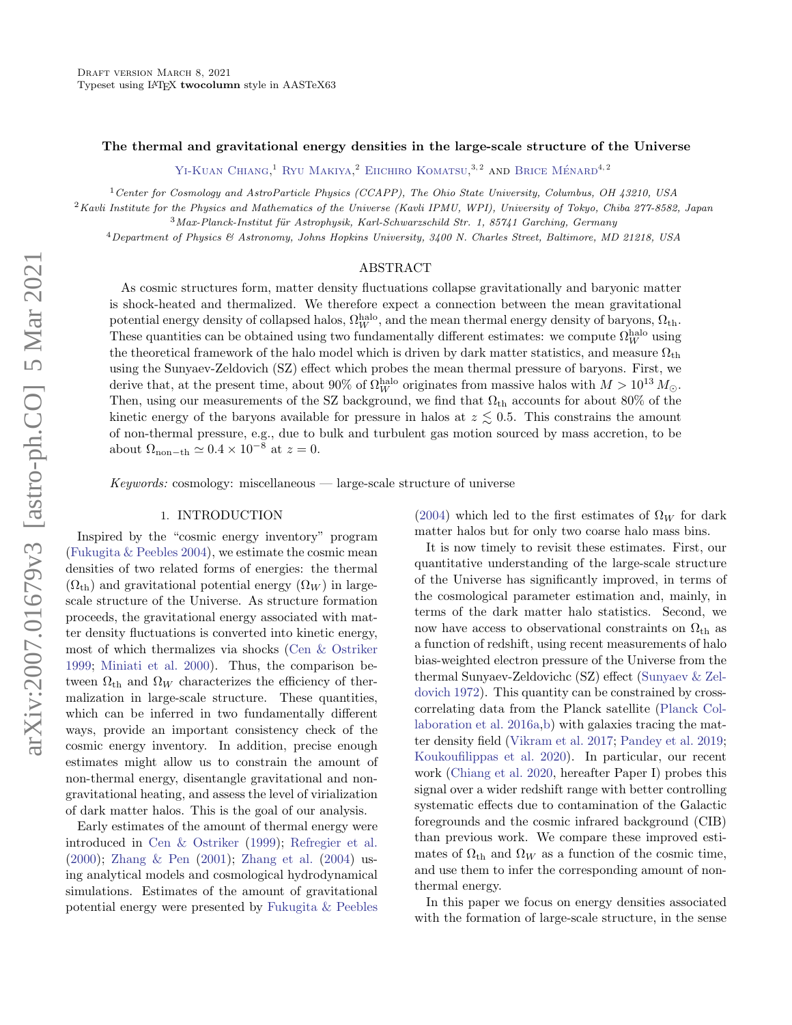### The thermal and gravitational energy densities in the large-scale structure of the Universe

[Yi-Kuan Chiang,](http://orcid.org/0000-0001-6320-261X) <sup>1</sup> [Ryu Makiya,](http://orcid.org/0000-0001-5133-3655) <sup>2</sup> [Eiichiro Komatsu,](http://orcid.org/0000-0002-0136-2404) <sup>3, 2</sup> and Brice Ménard<sup>4, 2</sup>

<sup>1</sup>Center for Cosmology and AstroParticle Physics (CCAPP), The Ohio State University, Columbus, OH 43210, USA

 $2$ Kavli Institute for the Physics and Mathematics of the Universe (Kavli IPMU, WPI), University of Tokyo, Chiba 277-8582, Japan

 $3$ Max-Planck-Institut für Astrophysik, Karl-Schwarzschild Str. 1, 85741 Garching, Germany

<sup>4</sup>Department of Physics & Astronomy, Johns Hopkins University, 3400 N. Charles Street, Baltimore, MD 21218, USA

## ABSTRACT

As cosmic structures form, matter density fluctuations collapse gravitationally and baryonic matter is shock-heated and thermalized. We therefore expect a connection between the mean gravitational potential energy density of collapsed halos,  $\Omega_W^{\rm halo}$ , and the mean thermal energy density of baryons,  $\Omega_{\rm th}$ . These quantities can be obtained using two fundamentally different estimates: we compute  $\Omega_W^{\text{halo}}$  using the theoretical framework of the halo model which is driven by dark matter statistics, and measure  $\Omega_{\rm th}$ using the Sunyaev-Zeldovich (SZ) effect which probes the mean thermal pressure of baryons. First, we derive that, at the present time, about 90% of  $\Omega_W^{\text{halo}}$  originates from massive halos with  $M > 10^{13} M_{\odot}$ . Then, using our measurements of the SZ background, we find that  $\Omega_{\rm th}$  accounts for about 80% of the kinetic energy of the baryons available for pressure in halos at  $z \lesssim 0.5$ . This constrains the amount of non-thermal pressure, e.g., due to bulk and turbulent gas motion sourced by mass accretion, to be about  $\Omega_{\text{non-th}} \simeq 0.4 \times 10^{-8}$  at  $z = 0$ .

 $Keywords:$  cosmology: miscellaneous — large-scale structure of universe

### 1. INTRODUCTION

Inspired by the "cosmic energy inventory" program [\(Fukugita & Peebles](#page-11-0) [2004\)](#page-11-0), we estimate the cosmic mean densities of two related forms of energies: the thermal  $(\Omega_{th})$  and gravitational potential energy  $(\Omega_W)$  in largescale structure of the Universe. As structure formation proceeds, the gravitational energy associated with matter density fluctuations is converted into kinetic energy, most of which thermalizes via shocks [\(Cen & Ostriker](#page-10-0) [1999;](#page-10-0) [Miniati et al.](#page-11-1) [2000\)](#page-11-1). Thus, the comparison between  $\Omega_{\rm th}$  and  $\Omega_W$  characterizes the efficiency of thermalization in large-scale structure. These quantities, which can be inferred in two fundamentally different ways, provide an important consistency check of the cosmic energy inventory. In addition, precise enough estimates might allow us to constrain the amount of non-thermal energy, disentangle gravitational and nongravitational heating, and assess the level of virialization of dark matter halos. This is the goal of our analysis.

Early estimates of the amount of thermal energy were introduced in [Cen & Ostriker](#page-10-0) [\(1999\)](#page-10-0); [Refregier et al.](#page-12-0) [\(2000\)](#page-12-0); [Zhang & Pen](#page-13-0) [\(2001\)](#page-13-0); [Zhang et al.](#page-13-1) [\(2004\)](#page-13-1) using analytical models and cosmological hydrodynamical simulations. Estimates of the amount of gravitational potential energy were presented by [Fukugita & Peebles](#page-11-0) [\(2004\)](#page-11-0) which led to the first estimates of  $\Omega_W$  for dark matter halos but for only two coarse halo mass bins.

It is now timely to revisit these estimates. First, our quantitative understanding of the large-scale structure of the Universe has significantly improved, in terms of the cosmological parameter estimation and, mainly, in terms of the dark matter halo statistics. Second, we now have access to observational constraints on  $\Omega_{\text{th}}$  as a function of redshift, using recent measurements of halo bias-weighted electron pressure of the Universe from the thermal Sunyaev-Zeldovichc (SZ) effect [\(Sunyaev & Zel](#page-12-1)[dovich](#page-12-1) [1972\)](#page-12-1). This quantity can be constrained by crosscorrelating data from the Planck satellite [\(Planck Col](#page-12-2)[laboration et al.](#page-12-2) [2016a](#page-12-2)[,b\)](#page-12-3) with galaxies tracing the matter density field [\(Vikram et al.](#page-13-2) [2017;](#page-13-2) [Pandey et al.](#page-12-4) [2019;](#page-12-4) [Koukoufilippas et al.](#page-11-2) [2020\)](#page-11-2). In particular, our recent work [\(Chiang et al.](#page-10-1) [2020,](#page-10-1) hereafter Paper I) probes this signal over a wider redshift range with better controlling systematic effects due to contamination of the Galactic foregrounds and the cosmic infrared background (CIB) than previous work. We compare these improved estimates of  $\Omega_{\text{th}}$  and  $\Omega_W$  as a function of the cosmic time, and use them to infer the corresponding amount of nonthermal energy.

In this paper we focus on energy densities associated with the formation of large-scale structure, in the sense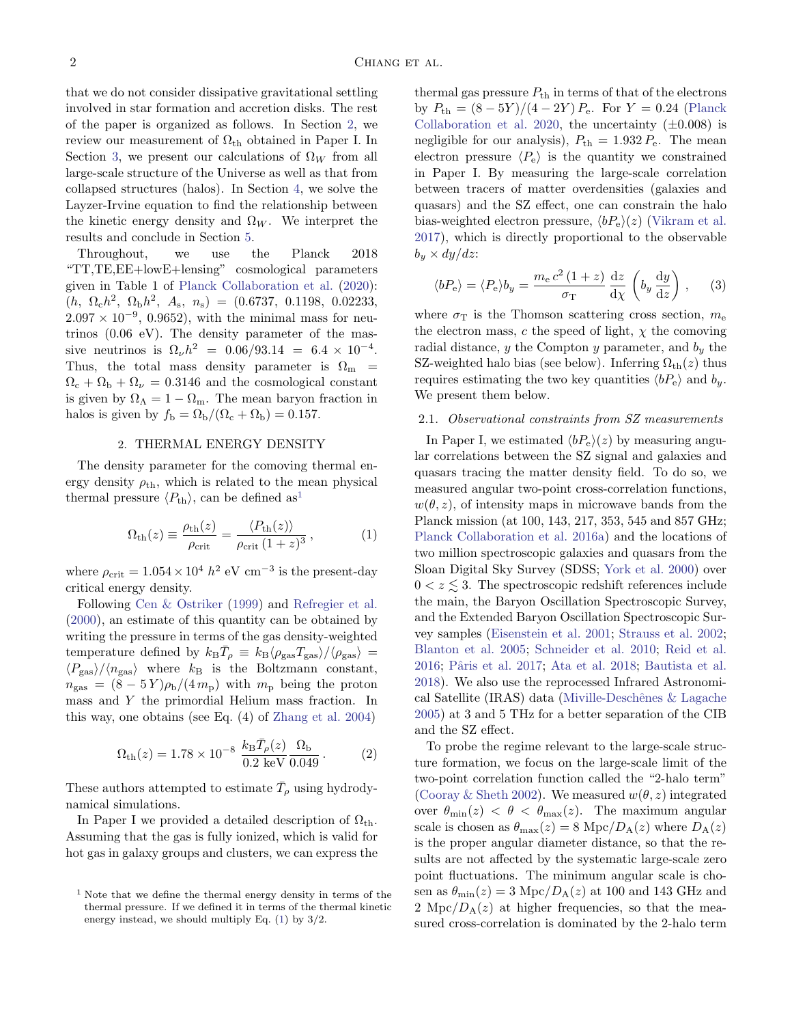that we do not consider dissipative gravitational settling involved in star formation and accretion disks. The rest of the paper is organized as follows. In Section [2,](#page-1-0) we review our measurement of  $\Omega_{\rm th}$  obtained in Paper I. In Section [3,](#page-4-0) we present our calculations of  $\Omega_W$  from all large-scale structure of the Universe as well as that from collapsed structures (halos). In Section [4,](#page-7-0) we solve the Layzer-Irvine equation to find the relationship between the kinetic energy density and  $\Omega_W$ . We interpret the results and conclude in Section [5.](#page-9-0)

Throughout, we use the Planck 2018 "TT,TE,EE+lowE+lensing" cosmological parameters given in Table 1 of [Planck Collaboration et al.](#page-12-5) [\(2020\)](#page-12-5):  $(h, \ \Omega_0 h^2, \ \Omega_b h^2, \ A_s, \ n_s) = (0.6737, \ 0.1198, \ 0.02233,$  $2.097 \times 10^{-9}$ , 0.9652), with the minimal mass for neutrinos (0.06 eV). The density parameter of the massive neutrinos is  $\Omega_{\nu}h^2 = 0.06/93.14 = 6.4 \times 10^{-4}$ . Thus, the total mass density parameter is  $\Omega_{\rm m}$  =  $\Omega_c + \Omega_b + \Omega_{\nu} = 0.3146$  and the cosmological constant is given by  $\Omega_{\Lambda} = 1 - \Omega_{\rm m}$ . The mean baryon fraction in halos is given by  $f_{\rm b} = \Omega_{\rm b}/(\Omega_{\rm c} + \Omega_{\rm b}) = 0.157$ .

#### 2. THERMAL ENERGY DENSITY

<span id="page-1-0"></span>The density parameter for the comoving thermal energy density  $\rho_{\text{th}}$ , which is related to the mean physical thermal pressure  $\langle P_{\text{th}} \rangle$ , can be defined as<sup>[1](#page-1-1)</sup>

<span id="page-1-2"></span>
$$
\Omega_{\text{th}}(z) \equiv \frac{\rho_{\text{th}}(z)}{\rho_{\text{crit}}} = \frac{\langle P_{\text{th}}(z) \rangle}{\rho_{\text{crit}} \left(1 + z\right)^3},\tag{1}
$$

where  $\rho_{\rm crit} = 1.054 \times 10^4 h^2 \text{ eV cm}^{-3}$  is the present-day critical energy density.

Following [Cen & Ostriker](#page-10-0) [\(1999\)](#page-10-0) and [Refregier et al.](#page-12-0) [\(2000\)](#page-12-0), an estimate of this quantity can be obtained by writing the pressure in terms of the gas density-weighted temperature defined by  $k_B \bar{T}_\rho \equiv k_B \langle \rho_{\rm gas} T_{\rm gas} \rangle / \langle \rho_{\rm gas} \rangle =$  $\langle P_{\rm gas}\rangle/\langle n_{\rm gas}\rangle$  where  $k_{\rm B}$  is the Boltzmann constant,  $n_{\text{gas}} = (8-5Y)\rho_{\text{b}}/(4m_{\text{p}})$  with  $m_{\text{p}}$  being the proton mass and Y the primordial Helium mass fraction. In this way, one obtains (see Eq. (4) of [Zhang et al.](#page-13-1) [2004\)](#page-13-1)

<span id="page-1-3"></span>
$$
\Omega_{\rm th}(z) = 1.78 \times 10^{-8} \frac{k_{\rm B} \bar{T}_{\rho}(z)}{0.2 \text{ keV}} \frac{\Omega_{\rm b}}{0.049} \,. \tag{2}
$$

These authors attempted to estimate  $\bar{T}_{\rho}$  using hydrodynamical simulations.

In Paper I we provided a detailed description of  $\Omega_{\rm th}$ . Assuming that the gas is fully ionized, which is valid for hot gas in galaxy groups and clusters, we can express the thermal gas pressure  $P_{\text{th}}$  in terms of that of the electrons by  $P_{\text{th}} = (8 - 5Y)/(4 - 2Y) P_{\text{e}}$ . For  $Y = 0.24$  [\(Planck](#page-12-5) [Collaboration et al.](#page-12-5) [2020,](#page-12-5) the uncertainty  $(\pm 0.008)$  is negligible for our analysis),  $P_{\text{th}} = 1.932 P_{\text{e}}$ . The mean electron pressure  $\langle P_e \rangle$  is the quantity we constrained in Paper I. By measuring the large-scale correlation between tracers of matter overdensities (galaxies and quasars) and the SZ effect, one can constrain the halo bias-weighted electron pressure,  $\langle bP_e \rangle(z)$  [\(Vikram et al.](#page-13-2) [2017\)](#page-13-2), which is directly proportional to the observable  $b_y \times dy/dz$ :

$$
\langle bP_{\rm e} \rangle = \langle P_{\rm e} \rangle b_y = \frac{m_{\rm e} c^2 (1+z)}{\sigma_{\rm T}} \frac{\mathrm{d}z}{\mathrm{d}\chi} \left( b_y \frac{\mathrm{d}y}{\mathrm{d}z} \right), \quad (3)
$$

where  $\sigma_{\rm T}$  is the Thomson scattering cross section,  $m_{\rm e}$ the electron mass, c the speed of light,  $\chi$  the comoving radial distance,  $y$  the Compton  $y$  parameter, and  $b_y$  the SZ-weighted halo bias (see below). Inferring  $\Omega_{\text{th}}(z)$  thus requires estimating the two key quantities  $\langle bP_e \rangle$  and  $b_y$ . We present them below.

### 2.1. Observational constraints from SZ measurements

In Paper I, we estimated  $\langle bP_e\rangle(z)$  by measuring angular correlations between the SZ signal and galaxies and quasars tracing the matter density field. To do so, we measured angular two-point cross-correlation functions,  $w(\theta, z)$ , of intensity maps in microwave bands from the Planck mission (at 100, 143, 217, 353, 545 and 857 GHz; [Planck Collaboration et al.](#page-12-2) [2016a\)](#page-12-2) and the locations of two million spectroscopic galaxies and quasars from the Sloan Digital Sky Survey (SDSS; [York et al.](#page-13-3) [2000\)](#page-13-3) over  $0 < z \leq 3$ . The spectroscopic redshift references include the main, the Baryon Oscillation Spectroscopic Survey, and the Extended Baryon Oscillation Spectroscopic Survey samples [\(Eisenstein et al.](#page-11-3) [2001;](#page-11-3) [Strauss et al.](#page-12-6) [2002;](#page-12-6) [Blanton et al.](#page-10-2) [2005;](#page-10-2) [Schneider et al.](#page-12-7) [2010;](#page-12-7) [Reid et al.](#page-12-8) [2016;](#page-12-8) [Pˆaris et al.](#page-12-9) [2017;](#page-12-9) [Ata et al.](#page-10-3) [2018;](#page-10-3) [Bautista et al.](#page-10-4) [2018\)](#page-10-4). We also use the reprocessed Infrared Astronomical Satellite (IRAS) data (Miville-Deschênes & Lagache [2005\)](#page-11-4) at 3 and 5 THz for a better separation of the CIB and the SZ effect.

To probe the regime relevant to the large-scale structure formation, we focus on the large-scale limit of the two-point correlation function called the "2-halo term" [\(Cooray & Sheth](#page-11-5) [2002\)](#page-11-5). We measured  $w(\theta, z)$  integrated over  $\theta_{\min}(z) < \theta < \theta_{\max}(z)$ . The maximum angular scale is chosen as  $\theta_{\text{max}}(z) = 8 \text{ Mpc}/D_{\text{A}}(z)$  where  $D_{\text{A}}(z)$ is the proper angular diameter distance, so that the results are not affected by the systematic large-scale zero point fluctuations. The minimum angular scale is chosen as  $\theta_{\rm min}(z) = 3 \text{ Mpc}/D_{\rm A}(z)$  at 100 and 143 GHz and 2 Mpc/ $D_A(z)$  at higher frequencies, so that the measured cross-correlation is dominated by the 2-halo term

<span id="page-1-1"></span> $1$  Note that we define the thermal energy density in terms of the thermal pressure. If we defined it in terms of the thermal kinetic energy instead, we should multiply Eq. [\(1\)](#page-1-2) by 3/2.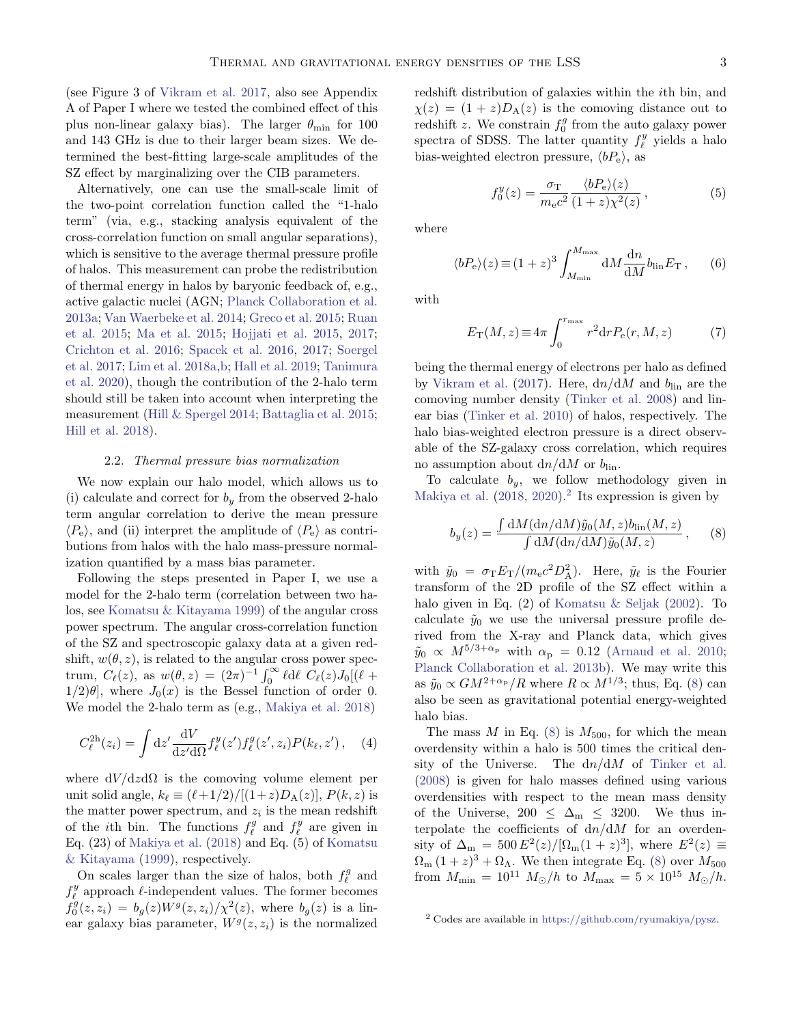(see Figure 3 of [Vikram et al.](#page-13-2) [2017,](#page-13-2) also see Appendix A of Paper I where we tested the combined effect of this plus non-linear galaxy bias). The larger  $\theta_{\min}$  for 100 and 143 GHz is due to their larger beam sizes. We determined the best-fitting large-scale amplitudes of the SZ effect by marginalizing over the CIB parameters.

Alternatively, one can use the small-scale limit of the two-point correlation function called the "1-halo term" (via, e.g., stacking analysis equivalent of the cross-correlation function on small angular separations), which is sensitive to the average thermal pressure profile of halos. This measurement can probe the redistribution of thermal energy in halos by baryonic feedback of, e.g., active galactic nuclei (AGN; [Planck Collaboration et al.](#page-12-10) [2013a;](#page-12-10) [Van Waerbeke et al.](#page-12-11) [2014;](#page-12-11) [Greco et al.](#page-11-6) [2015;](#page-11-6) [Ruan](#page-12-12) [et al.](#page-12-12) [2015;](#page-12-12) [Ma et al.](#page-11-7) [2015;](#page-11-7) [Hojjati et al.](#page-11-8) [2015,](#page-11-8) [2017;](#page-11-9) [Crichton et al.](#page-11-10) [2016;](#page-11-10) [Spacek et al.](#page-12-13) [2016,](#page-12-13) [2017;](#page-12-14) [Soergel](#page-12-15) [et al.](#page-12-15) [2017;](#page-12-15) [Lim et al.](#page-11-11) [2018a,](#page-11-11)[b;](#page-11-12) [Hall et al.](#page-11-13) [2019;](#page-11-13) [Tanimura](#page-12-16) [et al.](#page-12-16) [2020\)](#page-12-16), though the contribution of the 2-halo term should still be taken into account when interpreting the measurement [\(Hill & Spergel](#page-11-14) [2014;](#page-11-14) [Battaglia et al.](#page-10-5) [2015;](#page-10-5) [Hill et al.](#page-11-15) [2018\)](#page-11-15).

## 2.2. Thermal pressure bias normalization

We now explain our halo model, which allows us to (i) calculate and correct for  $b_y$  from the observed 2-halo term angular correlation to derive the mean pressure  $\langle P_e \rangle$ , and (ii) interpret the amplitude of  $\langle P_e \rangle$  as contributions from halos with the halo mass-pressure normalization quantified by a mass bias parameter.

Following the steps presented in Paper I, we use a model for the 2-halo term (correlation between two halos, see [Komatsu & Kitayama](#page-11-16) [1999\)](#page-11-16) of the angular cross power spectrum. The angular cross-correlation function of the SZ and spectroscopic galaxy data at a given redshift,  $w(\theta, z)$ , is related to the angular cross power spectrum,  $\dot{C}_{\ell}(z)$ , as  $w(\theta, z) = (2\pi)^{-1} \int_0^{\infty} \ell d\ell \, \dot{C}_{\ell}(z) J_0[(\ell +$  $1/2|\theta|$ , where  $J_0(x)$  is the Bessel function of order 0. We model the 2-halo term as (e.g., [Makiya et al.](#page-11-17) [2018\)](#page-11-17)

$$
C_{\ell}^{2h}(z_i) = \int dz' \frac{dV}{dz' d\Omega} f_{\ell}^{y}(z') f_{\ell}^{g}(z', z_i) P(k_{\ell}, z'), \quad (4)
$$

where  $dV/dz d\Omega$  is the comoving volume element per unit solid angle,  $k_{\ell} \equiv (\ell + 1/2)/[(1+z)D_{\rm A}(z)]$ ,  $P(k, z)$  is the matter power spectrum, and  $z_i$  is the mean redshift of the *i*<sup>th</sup> bin. The functions  $f_{\ell}^g$  and  $f_{\ell}^y$  are given in Eq. (23) of [Makiya et al.](#page-11-17) [\(2018\)](#page-11-17) and Eq. (5) of [Komatsu](#page-11-16) [& Kitayama](#page-11-16) [\(1999\)](#page-11-16), respectively.

On scales larger than the size of halos, both  $f_{\ell}^g$  and  $f^y_\ell$  approach  $\ell\text{-independent values.}$  The former becomes  $f_0^g(z, z_i) = b_g(z)W^g(z, z_i)/\chi^2(z)$ , where  $b_g(z)$  is a linear galaxy bias parameter,  $W<sup>g</sup>(z, z<sub>i</sub>)$  is the normalized redshift distribution of galaxies within the ith bin, and  $\chi(z) = (1+z)D_{\rm A}(z)$  is the comoving distance out to redshift z. We constrain  $f_0^g$  from the auto galaxy power spectra of SDSS. The latter quantity  $f_{\ell}^{y}$  yields a halo bias-weighted electron pressure,  $\langle bP_e \rangle$ , as

$$
f_0^y(z) = \frac{\sigma_{\rm T}}{m_{\rm e}c^2} \frac{\langle bP_{\rm e}\rangle(z)}{(1+z)\chi^2(z)},\tag{5}
$$

where

<span id="page-2-2"></span>
$$
\langle bP_{\rm e}\rangle(z) \equiv (1+z)^3 \int_{M_{\rm min}}^{M_{\rm max}} \mathrm{d}M \frac{\mathrm{d}n}{\mathrm{d}M} b_{\rm lin} E_{\rm T} ,\qquad (6)
$$

with

<span id="page-2-3"></span>
$$
E_{\rm T}(M,z) \equiv 4\pi \int_0^{r_{\rm max}} r^2 dr P_{\rm e}(r,M,z)
$$
 (7)

being the thermal energy of electrons per halo as defined by [Vikram et al.](#page-13-2) [\(2017\)](#page-13-2). Here,  $dn/dM$  and  $b_{lin}$  are the comoving number density [\(Tinker et al.](#page-12-17) [2008\)](#page-12-17) and linear bias [\(Tinker et al.](#page-12-18) [2010\)](#page-12-18) of halos, respectively. The halo bias-weighted electron pressure is a direct observable of the SZ-galaxy cross correlation, which requires no assumption about  $dn/dM$  or  $b_{lin}$ .

To calculate  $b_y$ , we follow methodology given in [Makiya et al.](#page-11-17)  $(2018, 2020)$  $(2018, 2020)$  $(2018, 2020)$ .<sup>[2](#page-2-0)</sup> Its expression is given by

<span id="page-2-1"></span>
$$
b_y(z) = \frac{\int dM (dn/dM) \tilde{y}_0(M, z) b_{\text{lin}}(M, z)}{\int dM (dn/dM) \tilde{y}_0(M, z)},
$$
 (8)

with  $\tilde{y}_0 = \sigma_{\rm T} E_{\rm T} / (m_{\rm e} c^2 D_{\rm A}^2)$ . Here,  $\tilde{y}_\ell$  is the Fourier transform of the 2D profile of the SZ effect within a halo given in Eq. (2) of [Komatsu & Seljak](#page-11-19) [\(2002\)](#page-11-19). To calculate  $\tilde{y}_0$  we use the universal pressure profile derived from the X-ray and Planck data, which gives  $\tilde{y}_0 \propto M^{5/3+\alpha_{\rm p}}$  with  $\alpha_{\rm p} = 0.12$  [\(Arnaud et al.](#page-10-6) [2010;](#page-10-6) [Planck Collaboration et al.](#page-12-19) [2013b\)](#page-12-19). We may write this as  $\tilde{y}_0 \propto GM^{2+\alpha_{\rm p}}/R$  where  $R \propto M^{1/3}$ ; thus, Eq. [\(8\)](#page-2-1) can also be seen as gravitational potential energy-weighted halo bias.

The mass M in Eq.  $(8)$  is  $M_{500}$ , for which the mean overdensity within a halo is 500 times the critical density of the Universe. The  $dn/dM$  of [Tinker et al.](#page-12-17) [\(2008\)](#page-12-17) is given for halo masses defined using various overdensities with respect to the mean mass density of the Universe, 200  $\leq \Delta_{\rm m} \leq 3200$ . We thus interpolate the coefficients of  $dn/dM$  for an overdensity of  $\Delta_{\rm m} = 500 E^2(z) / [\Omega_{\rm m}(1+z)^3]$ , where  $E^2(z) \equiv$  $\Omega_{\rm m} (1+z)^3 + \Omega_{\Lambda}$ . We then integrate Eq. [\(8\)](#page-2-1) over  $M_{500}$ from  $M_{\text{min}} = 10^{11} M_{\odot}/h$  to  $M_{\text{max}} = 5 \times 10^{15} M_{\odot}/h$ .

<span id="page-2-0"></span><sup>2</sup> Codes are available in [https://github.com/ryumakiya/pysz.](https://github.com/ryumakiya/pysz)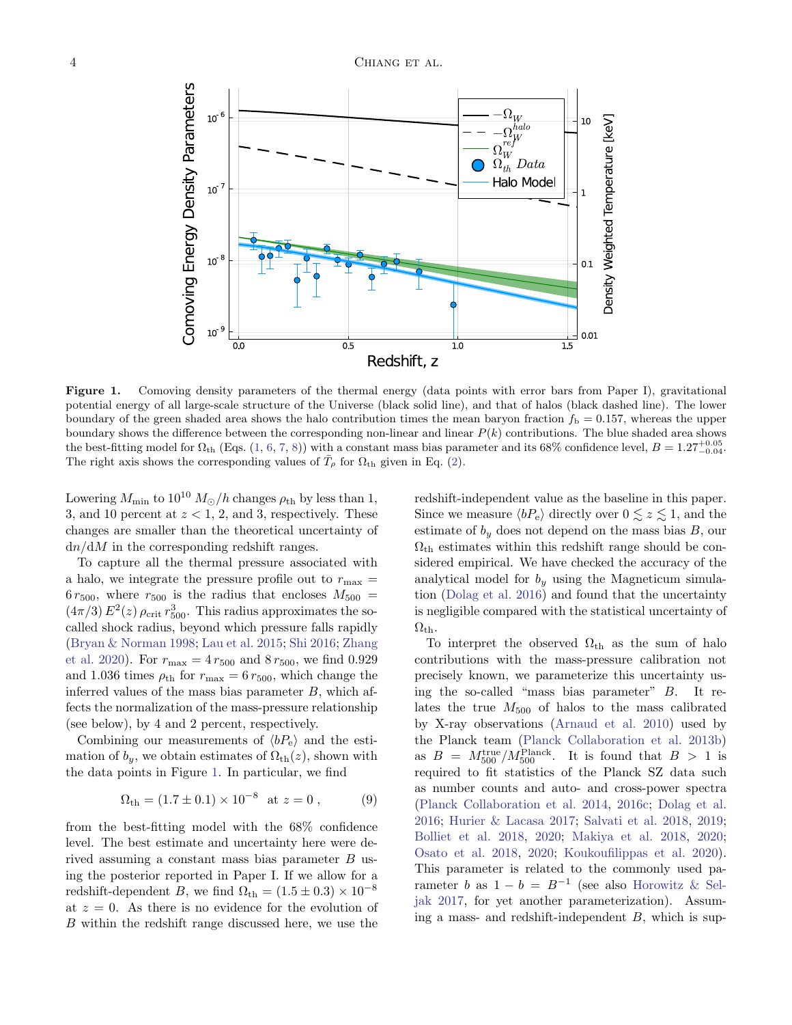

<span id="page-3-0"></span>Figure 1. Comoving density parameters of the thermal energy (data points with error bars from Paper I), gravitational potential energy of all large-scale structure of the Universe (black solid line), and that of halos (black dashed line). The lower boundary of the green shaded area shows the halo contribution times the mean baryon fraction  $f<sub>b</sub> = 0.157$ , whereas the upper boundary shows the difference between the corresponding non-linear and linear  $P(k)$  contributions. The blue shaded area shows the best-fitting model for  $\Omega_{th}$  (Eqs. [\(1,](#page-1-2) [6,](#page-2-2) [7,](#page-2-3) [8\)](#page-2-1)) with a constant mass bias parameter and its 68% confidence level,  $B = 1.27^{+0.05}_{-0.04}$ . The right axis shows the corresponding values of  $\bar{T}_{\rho}$  for  $\Omega_{th}$  given in Eq. [\(2\)](#page-1-3).

Lowering  $M_{\text{min}}$  to  $10^{10} M_{\odot}/h$  changes  $\rho_{\text{th}}$  by less than 1, 3, and 10 percent at  $z < 1$ , 2, and 3, respectively. These changes are smaller than the theoretical uncertainty of  $dn/dM$  in the corresponding redshift ranges.

To capture all the thermal pressure associated with a halo, we integrate the pressure profile out to  $r_{\text{max}} =$  $6 r_{500}$ , where  $r_{500}$  is the radius that encloses  $M_{500} =$  $(4\pi/3) E^2(z) \rho_{\rm crit} r_{500}^3$ . This radius approximates the socalled shock radius, beyond which pressure falls rapidly [\(Bryan & Norman](#page-10-7) [1998;](#page-10-7) [Lau et al.](#page-11-20) [2015;](#page-11-20) [Shi](#page-12-20) [2016;](#page-12-20) [Zhang](#page-13-4) [et al.](#page-13-4) [2020\)](#page-13-4). For  $r_{\text{max}} = 4 r_{500}$  and  $8 r_{500}$ , we find 0.929 and 1.036 times  $\rho_{\text{th}}$  for  $r_{\text{max}} = 6 r_{500}$ , which change the inferred values of the mass bias parameter  $B$ , which affects the normalization of the mass-pressure relationship (see below), by 4 and 2 percent, respectively.

Combining our measurements of  $\langle bP_e \rangle$  and the estimation of  $b_y$ , we obtain estimates of  $\Omega_{\text{th}}(z)$ , shown with the data points in Figure [1.](#page-3-0) In particular, we find

$$
\Omega_{\rm th} = (1.7 \pm 0.1) \times 10^{-8} \text{ at } z = 0 , \qquad (9)
$$

from the best-fitting model with the 68% confidence level. The best estimate and uncertainty here were derived assuming a constant mass bias parameter B using the posterior reported in Paper I. If we allow for a redshift-dependent B, we find  $\Omega_{\rm th} = (1.5 \pm 0.3) \times 10^{-8}$ at  $z = 0$ . As there is no evidence for the evolution of B within the redshift range discussed here, we use the redshift-independent value as the baseline in this paper. Since we measure  $\langle bP_e \rangle$  directly over  $0 \leq z \leq 1$ , and the estimate of  $b_y$  does not depend on the mass bias B, our  $\Omega_{\rm th}$  estimates within this redshift range should be considered empirical. We have checked the accuracy of the analytical model for  $b_y$  using the Magneticum simulation [\(Dolag et al.](#page-11-21) [2016\)](#page-11-21) and found that the uncertainty is negligible compared with the statistical uncertainty of  $\Omega_{\rm th}$ .

To interpret the observed  $\Omega_{\text{th}}$  as the sum of halo contributions with the mass-pressure calibration not precisely known, we parameterize this uncertainty using the so-called "mass bias parameter" B. It relates the true  $M_{500}$  of halos to the mass calibrated by X-ray observations [\(Arnaud et al.](#page-10-6) [2010\)](#page-10-6) used by the Planck team [\(Planck Collaboration et al.](#page-12-19) [2013b\)](#page-12-19) as  $B = M_{500}^{\text{true}}/M_{500}^{\text{Planck}}$ . It is found that  $B > 1$  is required to fit statistics of the Planck SZ data such as number counts and auto- and cross-power spectra [\(Planck Collaboration et al.](#page-12-21) [2014,](#page-12-21) [2016c;](#page-12-22) [Dolag et al.](#page-11-21) [2016;](#page-11-21) [Hurier & Lacasa](#page-11-22) [2017;](#page-11-22) [Salvati et al.](#page-12-23) [2018,](#page-12-23) [2019;](#page-12-24) [Bolliet et al.](#page-10-8) [2018,](#page-10-8) [2020;](#page-10-9) [Makiya et al.](#page-11-17) [2018,](#page-11-17) [2020;](#page-11-18) [Osato et al.](#page-12-25) [2018,](#page-12-25) [2020;](#page-12-26) [Koukoufilippas et al.](#page-11-2) [2020\)](#page-11-2). This parameter is related to the commonly used parameter b as  $1 - b = B^{-1}$  (see also [Horowitz & Sel](#page-11-23)[jak](#page-11-23) [2017,](#page-11-23) for yet another parameterization). Assuming a mass- and redshift-independent  $B$ , which is sup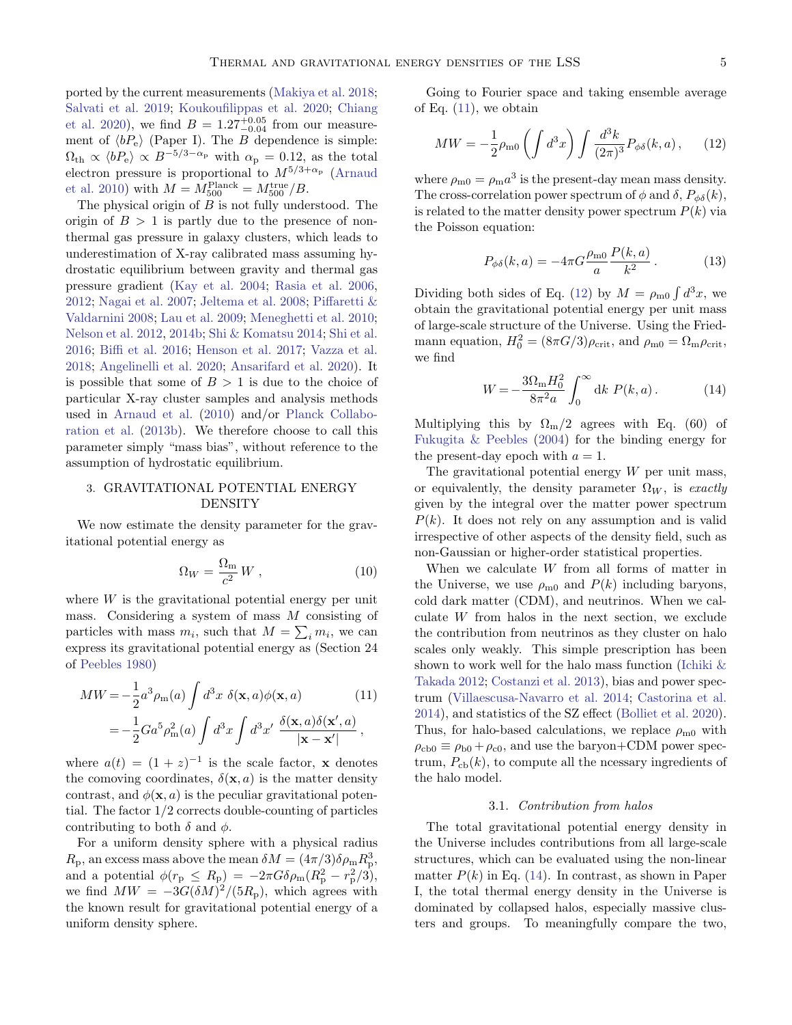ported by the current measurements [\(Makiya et al.](#page-11-17) [2018;](#page-11-17) [Salvati et al.](#page-12-24) [2019;](#page-12-24) [Koukoufilippas et al.](#page-11-2) [2020;](#page-11-2) [Chiang](#page-10-1) [et al.](#page-10-1) [2020\)](#page-10-1), we find  $B = 1.27^{+0.05}_{-0.04}$  from our measurement of  $\langle bP_e \rangle$  (Paper I). The B dependence is simple:  $\Omega_{\rm th} \propto \langle bP_{\rm e} \rangle \propto B^{-5/3-\alpha_{\rm p}}$  with  $\alpha_{\rm p} = 0.12$ , as the total electron pressure is proportional to  $M^{5/3+\alpha_{\rm p}}$  [\(Arnaud](#page-10-6) [et al.](#page-10-6) [2010\)](#page-10-6) with  $M = M_{500}^{\text{Planck}} = M_{500}^{\text{true}} / B$ .

The physical origin of  $B$  is not fully understood. The origin of  $B > 1$  is partly due to the presence of nonthermal gas pressure in galaxy clusters, which leads to underestimation of X-ray calibrated mass assuming hydrostatic equilibrium between gravity and thermal gas pressure gradient [\(Kay et al.](#page-11-24) [2004;](#page-11-24) [Rasia et al.](#page-12-27) [2006,](#page-12-27) [2012;](#page-12-28) [Nagai et al.](#page-11-25) [2007;](#page-11-25) [Jeltema et al.](#page-11-26) [2008;](#page-11-26) [Piffaretti &](#page-12-29) [Valdarnini](#page-12-29) [2008;](#page-12-29) [Lau et al.](#page-11-27) [2009;](#page-11-27) [Meneghetti et al.](#page-11-28) [2010;](#page-11-28) [Nelson et al.](#page-12-30) [2012,](#page-12-30) [2014b;](#page-12-31) [Shi & Komatsu](#page-12-32) [2014;](#page-12-32) [Shi et al.](#page-12-33) [2016;](#page-12-33) [Biffi et al.](#page-10-10) [2016;](#page-10-10) [Henson et al.](#page-11-29) [2017;](#page-11-29) [Vazza et al.](#page-12-34) [2018;](#page-12-34) [Angelinelli et al.](#page-10-11) [2020;](#page-10-11) [Ansarifard et al.](#page-10-12) [2020\)](#page-10-12). It is possible that some of  $B > 1$  is due to the choice of particular X-ray cluster samples and analysis methods used in [Arnaud et al.](#page-10-6) [\(2010\)](#page-10-6) and/or [Planck Collabo](#page-12-19)[ration et al.](#page-12-19) [\(2013b\)](#page-12-19). We therefore choose to call this parameter simply "mass bias", without reference to the assumption of hydrostatic equilibrium.

# <span id="page-4-0"></span>3. GRAVITATIONAL POTENTIAL ENERGY DENSITY

We now estimate the density parameter for the gravitational potential energy as

<span id="page-4-4"></span>
$$
\Omega_W = \frac{\Omega_{\rm m}}{c^2} W , \qquad (10)
$$

where  $W$  is the gravitational potential energy per unit mass. Considering a system of mass M consisting of particles with mass  $m_i$ , such that  $M = \sum_i m_i$ , we can express its gravitational potential energy as (Section 24 of [Peebles](#page-12-35) [1980\)](#page-12-35)

<span id="page-4-1"></span>
$$
MW = -\frac{1}{2}a^3 \rho_m(a) \int d^3x \ \delta(\mathbf{x}, a) \phi(\mathbf{x}, a)
$$
(11)  
=  $-\frac{1}{2}Ga^5 \rho_m^2(a) \int d^3x \int d^3x' \ \frac{\delta(\mathbf{x}, a) \delta(\mathbf{x}', a)}{|\mathbf{x} - \mathbf{x}'|},$ 

where  $a(t) = (1 + z)^{-1}$  is the scale factor, **x** denotes the comoving coordinates,  $\delta(\mathbf{x}, a)$  is the matter density contrast, and  $\phi(\mathbf{x}, a)$  is the peculiar gravitational potential. The factor 1/2 corrects double-counting of particles contributing to both  $\delta$  and  $\phi$ .

For a uniform density sphere with a physical radius  $R_{\rm p}$ , an excess mass above the mean  $\delta M = (4\pi/3)\delta\rho_{\rm m}R_{\rm p}^3$ , and a potential  $\phi(r_{\rm p} \le R_{\rm p}) = -2\pi G \delta \rho_{\rm m} (R_{\rm p}^2 - r_{\rm p}^2/3),$ we find  $MW = -3G(\delta M)^2/(5R_p)$ , which agrees with the known result for gravitational potential energy of a uniform density sphere.

Going to Fourier space and taking ensemble average of Eq.  $(11)$ , we obtain

<span id="page-4-2"></span>
$$
MW = -\frac{1}{2}\rho_{\rm m0}\left(\int d^3x\right)\int \frac{d^3k}{(2\pi)^3}P_{\phi\delta}(k, a)\,,\qquad(12)
$$

where  $\rho_{m0} = \rho_m a^3$  is the present-day mean mass density. The cross-correlation power spectrum of  $\phi$  and  $\delta$ ,  $P_{\phi\delta}(k)$ , is related to the matter density power spectrum  $P(k)$  via the Poisson equation:

$$
P_{\phi\delta}(k, a) = -4\pi G \frac{\rho_{\rm m0}}{a} \frac{P(k, a)}{k^2}.
$$
 (13)

Dividing both sides of Eq. [\(12\)](#page-4-2) by  $M = \rho_{m0} \int d^3x$ , we obtain the gravitational potential energy per unit mass of large-scale structure of the Universe. Using the Friedmann equation,  $H_0^2 = (8\pi G/3)\rho_{\rm crit}$ , and  $\rho_{\rm m0} = \Omega_{\rm m}\rho_{\rm crit}$ , we find

<span id="page-4-3"></span>
$$
W = -\frac{3\Omega_{\rm m}H_0^2}{8\pi^2 a} \int_0^\infty dk \ P(k, a) \,. \tag{14}
$$

Multiplying this by  $\Omega_{\rm m}/2$  agrees with Eq. (60) of [Fukugita & Peebles](#page-11-0) [\(2004\)](#page-11-0) for the binding energy for the present-day epoch with  $a = 1$ .

The gravitational potential energy  $W$  per unit mass, or equivalently, the density parameter  $\Omega_W$ , is exactly given by the integral over the matter power spectrum  $P(k)$ . It does not rely on any assumption and is valid irrespective of other aspects of the density field, such as non-Gaussian or higher-order statistical properties.

When we calculate W from all forms of matter in the Universe, we use  $\rho_{m0}$  and  $P(k)$  including baryons, cold dark matter (CDM), and neutrinos. When we calculate  $W$  from halos in the next section, we exclude the contribution from neutrinos as they cluster on halo scales only weakly. This simple prescription has been shown to work well for the halo mass function (Ichiki  $\&$ [Takada](#page-11-30) [2012;](#page-11-30) [Costanzi et al.](#page-11-31) [2013\)](#page-11-31), bias and power spectrum [\(Villaescusa-Navarro et al.](#page-13-5) [2014;](#page-13-5) [Castorina et al.](#page-10-13) [2014\)](#page-10-13), and statistics of the SZ effect [\(Bolliet et al.](#page-10-9) [2020\)](#page-10-9). Thus, for halo-based calculations, we replace  $\rho_{m0}$  with  $\rho_{\rm cb0} \equiv \rho_{\rm b0} + \rho_{\rm c0}$ , and use the baryon+CDM power spectrum,  $P_{cb}(k)$ , to compute all the ncessary ingredients of the halo model.

#### 3.1. Contribution from halos

The total gravitational potential energy density in the Universe includes contributions from all large-scale structures, which can be evaluated using the non-linear matter  $P(k)$  in Eq. [\(14\)](#page-4-3). In contrast, as shown in Paper I, the total thermal energy density in the Universe is dominated by collapsed halos, especially massive clusters and groups. To meaningfully compare the two,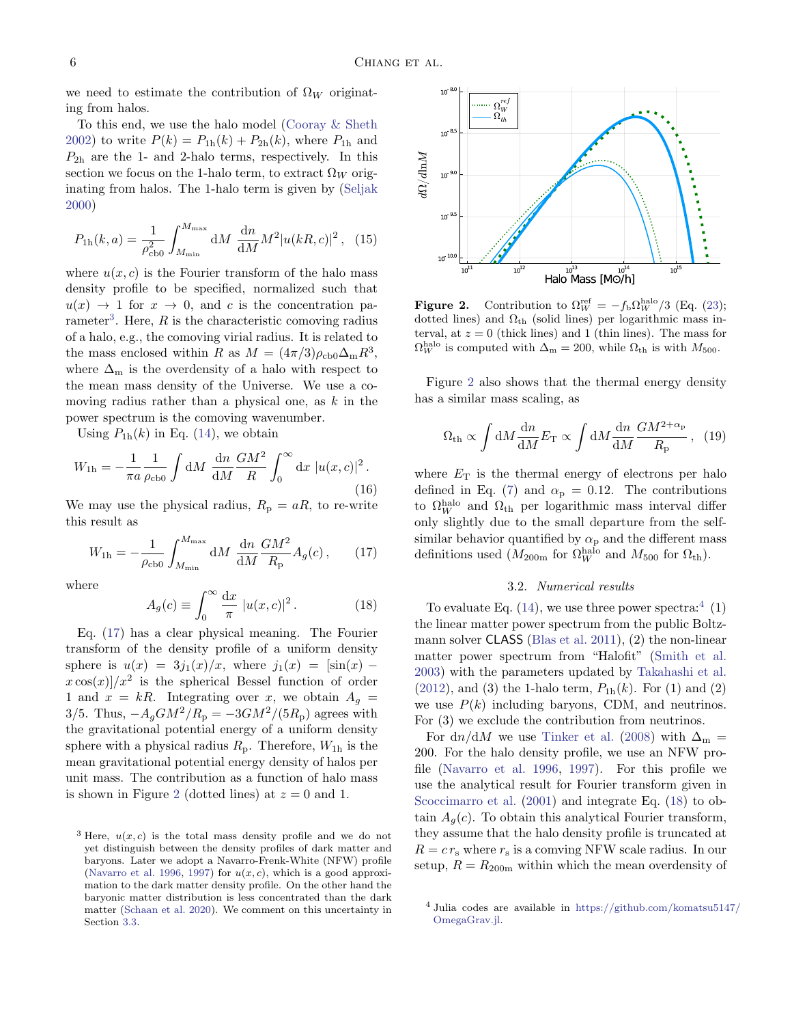we need to estimate the contribution of  $\Omega_W$  originating from halos.

To this end, we use the halo model [\(Cooray & Sheth](#page-11-5) [2002\)](#page-11-5) to write  $P(k) = P_{1h}(k) + P_{2h}(k)$ , where  $P_{1h}$  and  $P_{2h}$  are the 1- and 2-halo terms, respectively. In this section we focus on the 1-halo term, to extract  $\Omega_W$  originating from halos. The 1-halo term is given by [\(Seljak](#page-12-36) [2000\)](#page-12-36)

<span id="page-5-5"></span>
$$
P_{1h}(k,a) = \frac{1}{\rho_{\text{c}}^2} \int_{M_{\text{min}}}^{M_{\text{max}}} dM \frac{dn}{dM} M^2 |u(kR,c)|^2 \,, \tag{15}
$$

where  $u(x, c)$  is the Fourier transform of the halo mass density profile to be specified, normalized such that  $u(x) \rightarrow 1$  for  $x \rightarrow 0$ , and c is the concentration pa-rameter<sup>[3](#page-5-0)</sup>. Here, R is the characteristic comoving radius of a halo, e.g., the comoving virial radius. It is related to the mass enclosed within R as  $M = (4\pi/3)\rho_{\rm cb0}\Delta_{\rm m}R^3$ , where  $\Delta_{\rm m}$  is the overdensity of a halo with respect to the mean mass density of the Universe. We use a comoving radius rather than a physical one, as  $k$  in the power spectrum is the comoving wavenumber.

Using  $P_{1h}(k)$  in Eq. [\(14\)](#page-4-3), we obtain

$$
W_{1h} = -\frac{1}{\pi a} \frac{1}{\rho_{\text{c}}}_{0} \int dM \frac{dn}{dM} \frac{GM^2}{R} \int_0^\infty dx \, |u(x, c)|^2.
$$
\n(16)

We may use the physical radius,  $R_p = aR$ , to re-write this result as

<span id="page-5-1"></span>
$$
W_{1h} = -\frac{1}{\rho_{\rm cb0}} \int_{M_{\rm min}}^{M_{\rm max}} dM \frac{dn}{dM} \frac{GM^2}{R_{\rm p}} A_g(c) ,\qquad (17)
$$

where

<span id="page-5-4"></span>
$$
A_g(c) \equiv \int_0^\infty \frac{\mathrm{d}x}{\pi} |u(x,c)|^2.
$$
 (18)

Eq. [\(17\)](#page-5-1) has a clear physical meaning. The Fourier transform of the density profile of a uniform density sphere is  $u(x) = 3j_1(x)/x$ , where  $j_1(x) = [\sin(x)$  $x \cos(x)/x^2$  is the spherical Bessel function of order 1 and  $x = kR$ . Integrating over x, we obtain  $A<sub>q</sub>$  =  $3/5$ . Thus,  $-A_qGM^2/R_p = -3GM^2/(5R_p)$  agrees with the gravitational potential energy of a uniform density sphere with a physical radius  $R_{\rm p}$ . Therefore,  $W_{1h}$  is the mean gravitational potential energy density of halos per unit mass. The contribution as a function of halo mass is shown in Figure [2](#page-5-2) (dotted lines) at  $z = 0$  and 1.



<span id="page-5-2"></span>**Figure 2.** Contribution to  $\Omega_W^{\text{ref}} = -f_b \Omega_W^{\text{halo}}/3$  (Eq. [\(23\)](#page-7-1); dotted lines) and  $\Omega_{th}$  (solid lines) per logarithmic mass interval, at  $z = 0$  (thick lines) and 1 (thin lines). The mass for  $\Omega_W^{\text{halo}}$  is computed with  $\Delta_m = 200$ , while  $\Omega_{\text{th}}$  is with  $M_{500}$ .

Figure [2](#page-5-2) also shows that the thermal energy density has a similar mass scaling, as

$$
\Omega_{\rm th} \propto \int dM \frac{dn}{dM} E_{\rm T} \propto \int dM \frac{dn}{dM} \frac{GM^{2+\alpha_{\rm p}}}{R_{\rm p}}, \quad (19)
$$

where  $E_T$  is the thermal energy of electrons per halo defined in Eq. [\(7\)](#page-2-3) and  $\alpha_{\rm p} = 0.12$ . The contributions to  $\Omega_W^{\text{halo}}$  and  $\Omega_{\text{th}}$  per logarithmic mass interval differ only slightly due to the small departure from the selfsimilar behavior quantified by  $\alpha_{\rm p}$  and the different mass definitions used  $(M_{200m}$  for  $\Omega_W^{\text{halo}}$  and  $M_{500}$  for  $\Omega_{\text{th}})$ .

# 3.2. Numerical results

To evaluate Eq.  $(14)$ , we use three power spectra:<sup>[4](#page-5-3)</sup>  $(1)$ the linear matter power spectrum from the public Boltzmann solver CLASS [\(Blas et al.](#page-10-14) [2011\)](#page-10-14), (2) the non-linear matter power spectrum from "Halofit" [\(Smith et al.](#page-12-39) [2003\)](#page-12-39) with the parameters updated by [Takahashi et al.](#page-12-40) [\(2012\)](#page-12-40), and (3) the 1-halo term,  $P_{1h}(k)$ . For (1) and (2) we use  $P(k)$  including baryons, CDM, and neutrinos. For (3) we exclude the contribution from neutrinos.

For dn/dM we use [Tinker et al.](#page-12-17) [\(2008\)](#page-12-17) with  $\Delta_{\rm m}$  = 200. For the halo density profile, we use an NFW profile [\(Navarro et al.](#page-11-32) [1996,](#page-11-32) [1997\)](#page-12-37). For this profile we use the analytical result for Fourier transform given in [Scoccimarro et al.](#page-12-41)  $(2001)$  and integrate Eq.  $(18)$  to obtain  $A_q(c)$ . To obtain this analytical Fourier transform, they assume that the halo density profile is truncated at  $R = c r<sub>s</sub>$  where  $r<sub>s</sub>$  is a comving NFW scale radius. In our setup,  $R = R_{200m}$  within which the mean overdensity of

<span id="page-5-0"></span><sup>&</sup>lt;sup>3</sup> Here,  $u(x, c)$  is the total mass density profile and we do not yet distinguish between the density profiles of dark matter and baryons. Later we adopt a Navarro-Frenk-White (NFW) profile [\(Navarro et al.](#page-11-32) [1996,](#page-11-32) [1997\)](#page-12-37) for  $u(x, c)$ , which is a good approximation to the dark matter density profile. On the other hand the baryonic matter distribution is less concentrated than the dark matter [\(Schaan et al.](#page-12-38) [2020\)](#page-12-38). We comment on this uncertainty in Section [3.3.](#page-6-0)

<span id="page-5-3"></span><sup>4</sup> Julia codes are available in [https://github.com/komatsu5147/](https://github.com/komatsu5147/OmegaGrav.jl) [OmegaGrav.jl.](https://github.com/komatsu5147/OmegaGrav.jl)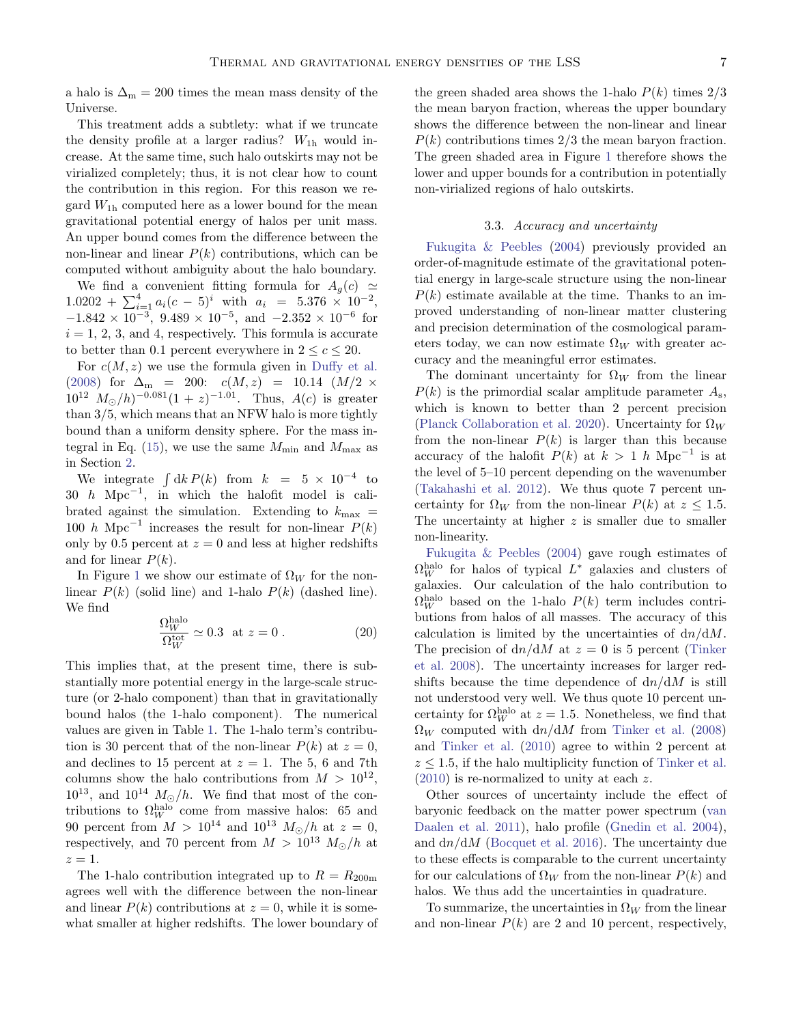a halo is  $\Delta_m = 200$  times the mean mass density of the Universe.

This treatment adds a subtlety: what if we truncate the density profile at a larger radius?  $W_{1h}$  would increase. At the same time, such halo outskirts may not be virialized completely; thus, it is not clear how to count the contribution in this region. For this reason we regard  $W_{1h}$  computed here as a lower bound for the mean gravitational potential energy of halos per unit mass. An upper bound comes from the difference between the non-linear and linear  $P(k)$  contributions, which can be computed without ambiguity about the halo boundary.

We find a convenient fitting formula for  $A_q(c) \simeq$  $1.0202 + \sum_{i=1}^{4} a_i (c-5)^i$  with  $a_i = 5.376 \times 10^{-2}$ ,  $-1.842 \times 10^{-3}$ ,  $9.489 \times 10^{-5}$ , and  $-2.352 \times 10^{-6}$  for  $i = 1, 2, 3$ , and 4, respectively. This formula is accurate to better than 0.1 percent everywhere in  $2 < c < 20$ .

For  $c(M, z)$  we use the formula given in [Duffy et al.](#page-11-33) [\(2008\)](#page-11-33) for  $\Delta_{\rm m}$  = 200:  $c(M, z)$  = 10.14  $(M/2 \times$  $10^{12}$   $M_{\odot}/h$ )<sup>-0.081</sup> $(1 + z)^{-1.01}$ . Thus,  $A(c)$  is greater than 3/5, which means that an NFW halo is more tightly bound than a uniform density sphere. For the mass in-tegral in Eq. [\(15\)](#page-5-5), we use the same  $M_{\text{min}}$  and  $M_{\text{max}}$  as in Section [2.](#page-1-0)

We integrate  $\int dk P(k)$  from  $k = 5 \times 10^{-4}$  to 30 h Mpc<sup>-1</sup>, in which the halofit model is calibrated against the simulation. Extending to  $k_{\text{max}}$  = 100 h Mpc<sup>-1</sup> increases the result for non-linear  $P(k)$ only by 0.5 percent at  $z = 0$  and less at higher redshifts and for linear  $P(k)$ .

In Figure [1](#page-3-0) we show our estimate of  $\Omega_W$  for the nonlinear  $P(k)$  (solid line) and 1-halo  $P(k)$  (dashed line). We find halo

$$
\frac{\Omega_W^{\text{halo}}}{\Omega_W^{\text{tot}}} \simeq 0.3 \text{ at } z = 0. \qquad (20)
$$

This implies that, at the present time, there is substantially more potential energy in the large-scale structure (or 2-halo component) than that in gravitationally bound halos (the 1-halo component). The numerical values are given in Table [1.](#page-7-2) The 1-halo term's contribution is 30 percent that of the non-linear  $P(k)$  at  $z = 0$ , and declines to 15 percent at  $z = 1$ . The 5, 6 and 7th columns show the halo contributions from  $M > 10^{12}$ ,  $10^{13}$ , and  $10^{14}$   $M_{\odot}/h$ . We find that most of the contributions to  $\Omega_W^{\text{halo}}$  come from massive halos: 65 and 90 percent from  $M > 10^{14}$  and  $10^{13}$   $M_{\odot}/h$  at  $z = 0$ , respectively, and 70 percent from  $M > 10^{13} M_{\odot}/h$  at  $z=1$ .

The 1-halo contribution integrated up to  $R = R_{200m}$ agrees well with the difference between the non-linear and linear  $P(k)$  contributions at  $z = 0$ , while it is somewhat smaller at higher redshifts. The lower boundary of the green shaded area shows the 1-halo  $P(k)$  times  $2/3$ the mean baryon fraction, whereas the upper boundary shows the difference between the non-linear and linear  $P(k)$  contributions times  $2/3$  the mean baryon fraction. The green shaded area in Figure [1](#page-3-0) therefore shows the lower and upper bounds for a contribution in potentially non-virialized regions of halo outskirts.

### 3.3. Accuracy and uncertainty

<span id="page-6-0"></span>[Fukugita & Peebles](#page-11-0) [\(2004\)](#page-11-0) previously provided an order-of-magnitude estimate of the gravitational potential energy in large-scale structure using the non-linear  $P(k)$  estimate available at the time. Thanks to an improved understanding of non-linear matter clustering and precision determination of the cosmological parameters today, we can now estimate  $\Omega_W$  with greater accuracy and the meaningful error estimates.

The dominant uncertainty for  $\Omega_W$  from the linear  $P(k)$  is the primordial scalar amplitude parameter  $A_{\rm s}$ , which is known to better than 2 percent precision [\(Planck Collaboration et al.](#page-12-5) [2020\)](#page-12-5). Uncertainty for  $\Omega_W$ from the non-linear  $P(k)$  is larger than this because accuracy of the halofit  $P(k)$  at  $k > 1$  h Mpc<sup>-1</sup> is at the level of 5–10 percent depending on the wavenumber [\(Takahashi et al.](#page-12-40) [2012\)](#page-12-40). We thus quote 7 percent uncertainty for  $\Omega_W$  from the non-linear  $P(k)$  at  $z \leq 1.5$ . The uncertainty at higher  $z$  is smaller due to smaller non-linearity.

[Fukugita & Peebles](#page-11-0) [\(2004\)](#page-11-0) gave rough estimates of  $\Omega_W^{\rm halo}$  for halos of typical  $L^*$  galaxies and clusters of galaxies. Our calculation of the halo contribution to  $\Omega_W^{\text{halo}}$  based on the 1-halo  $P(k)$  term includes contributions from halos of all masses. The accuracy of this calculation is limited by the uncertainties of  $dn/dM$ . The precision of  $dn/dM$  at  $z = 0$  is 5 percent [\(Tinker](#page-12-17)) [et al.](#page-12-17) [2008\)](#page-12-17). The uncertainty increases for larger redshifts because the time dependence of  $dn/dM$  is still not understood very well. We thus quote 10 percent uncertainty for  $\Omega_W^{\text{halo}}$  at  $z = 1.5$ . Nonetheless, we find that  $\Omega_W$  computed with  $dn/dM$  from [Tinker et al.](#page-12-17) [\(2008\)](#page-12-17) and [Tinker et al.](#page-12-18) [\(2010\)](#page-12-18) agree to within 2 percent at  $z \leq 1.5$ , if the halo multiplicity function of [Tinker et al.](#page-12-18) [\(2010\)](#page-12-18) is re-normalized to unity at each z.

Other sources of uncertainty include the effect of baryonic feedback on the matter power spectrum [\(van](#page-12-42) [Daalen et al.](#page-12-42) [2011\)](#page-12-42), halo profile [\(Gnedin et al.](#page-11-34) [2004\)](#page-11-34), and  $dn/dM$  [\(Bocquet et al.](#page-10-15) [2016\)](#page-10-15). The uncertainty due to these effects is comparable to the current uncertainty for our calculations of  $\Omega_W$  from the non-linear  $P(k)$  and halos. We thus add the uncertainties in quadrature.

To summarize, the uncertainties in  $\Omega_W$  from the linear and non-linear  $P(k)$  are 2 and 10 percent, respectively,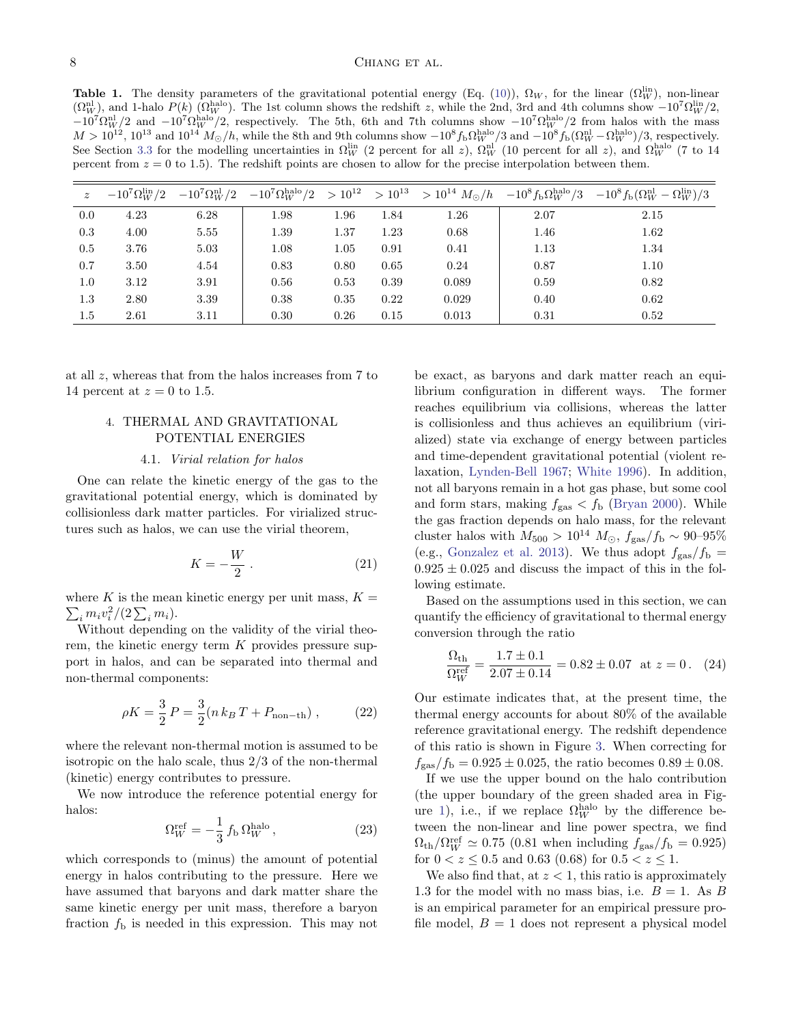<span id="page-7-2"></span>**Table 1.** The density parameters of the gravitational potential energy (Eq. [\(10\)](#page-4-4)),  $\Omega_W$ , for the linear ( $\Omega_W^{\text{lin}}$ ), non-linear  $(\Omega_W^{\text{nl}})$ , and 1-halo  $P(k)$  ( $\Omega_W^{\text{halo}}$ ). The 1st column shows the redshift z, while the 2nd, 3rd and 4th columns show  $-10^7 \Omega_W^{\text{lin}}/2$ ,  $-10^7 \Omega_W^{\text{hal}}/2$  and  $-10^7 \Omega_W^{\text{halo}}/2$ , respectively. The 5th, 6th and 7th columns show  $-10^7 \Omega_W^{\text{halo}}/2$  from halos with the mass  $M > 10^{12}$ ,  $10^{13}$  and  $10^{14}$   $M_{\odot}/h$ , while the 8th and 9th columns show  $-10^{8} f_{\rm b} \Omega_W^{\rm halo}/3$  and  $-10^{8} f_{\rm b} (\Omega_W^{\rm nl} - \Omega_W^{\rm halo})/3$ , respectively. See Section [3.3](#page-6-0) for the modelling uncertainties in  $\Omega_W^{\text{lin}}$  (2 percent for all z),  $\Omega_W^{\text{nl}}$  (10 percent for all z), and  $\Omega_W^{\text{halo}}$  (7 to 14 percent from  $z = 0$  to 1.5). The redshift points are chosen to allow for the precise interpolation between them.

| $\overline{z}$ |      |      |      |      |      |       |      | $-10^7 \Omega_W^{\text{lin}}/2$ $-10^7 \Omega_W^{\text{lin}}/2$ $-10^7 \Omega_W^{\text{halo}}/2$ $>10^{12}$ $>10^{13}$ $>10^{14}$ $M_{\odot}/h$ $-10^8 f_{\text{b}} \Omega_W^{\text{halo}}/3$ $-10^8 f_{\text{b}} (\Omega_W^{\text{lin}} - \Omega_W^{\text{lin}})/3$ |
|----------------|------|------|------|------|------|-------|------|----------------------------------------------------------------------------------------------------------------------------------------------------------------------------------------------------------------------------------------------------------------------|
| 0.0            | 4.23 | 6.28 | 1.98 | 1.96 | 1.84 | 1.26  | 2.07 | 2.15                                                                                                                                                                                                                                                                 |
| 0.3            | 4.00 | 5.55 | 1.39 | 1.37 | 1.23 | 0.68  | 1.46 | 1.62                                                                                                                                                                                                                                                                 |
| 0.5            | 3.76 | 5.03 | 1.08 | 1.05 | 0.91 | 0.41  | 1.13 | 1.34                                                                                                                                                                                                                                                                 |
| 0.7            | 3.50 | 4.54 | 0.83 | 0.80 | 0.65 | 0.24  | 0.87 | 1.10                                                                                                                                                                                                                                                                 |
| 1.0            | 3.12 | 3.91 | 0.56 | 0.53 | 0.39 | 0.089 | 0.59 | 0.82                                                                                                                                                                                                                                                                 |
| 1.3            | 2.80 | 3.39 | 0.38 | 0.35 | 0.22 | 0.029 | 0.40 | 0.62                                                                                                                                                                                                                                                                 |
| 1.5            | 2.61 | 3.11 | 0.30 | 0.26 | 0.15 | 0.013 | 0.31 | 0.52                                                                                                                                                                                                                                                                 |

at all z, whereas that from the halos increases from 7 to 14 percent at  $z = 0$  to 1.5.

# <span id="page-7-0"></span>4. THERMAL AND GRAVITATIONAL POTENTIAL ENERGIES

### 4.1. Virial relation for halos

One can relate the kinetic energy of the gas to the gravitational potential energy, which is dominated by collisionless dark matter particles. For virialized structures such as halos, we can use the virial theorem,

$$
K = -\frac{W}{2} \tag{21}
$$

 $\sum_i m_i v_i^2/(2\sum_i m_i).$ where K is the mean kinetic energy per unit mass,  $K =$ 

Without depending on the validity of the virial theorem, the kinetic energy term K provides pressure support in halos, and can be separated into thermal and non-thermal components:

<span id="page-7-3"></span>
$$
\rho K = \frac{3}{2} P = \frac{3}{2} (n k_B T + P_{\text{non-th}}) , \qquad (22)
$$

where the relevant non-thermal motion is assumed to be isotropic on the halo scale, thus 2/3 of the non-thermal (kinetic) energy contributes to pressure.

We now introduce the reference potential energy for halos:

<span id="page-7-1"></span>
$$
\Omega_W^{\text{ref}} = -\frac{1}{3} f_\text{b} \Omega_W^{\text{halo}},\tag{23}
$$

which corresponds to (minus) the amount of potential energy in halos contributing to the pressure. Here we have assumed that baryons and dark matter share the same kinetic energy per unit mass, therefore a baryon fraction  $f<sub>b</sub>$  is needed in this expression. This may not be exact, as baryons and dark matter reach an equilibrium configuration in different ways. The former reaches equilibrium via collisions, whereas the latter is collisionless and thus achieves an equilibrium (virialized) state via exchange of energy between particles and time-dependent gravitational potential (violent relaxation, [Lynden-Bell](#page-11-35) [1967;](#page-11-35) [White](#page-13-6) [1996\)](#page-13-6). In addition, not all baryons remain in a hot gas phase, but some cool and form stars, making  $f_{\text{gas}} < f_{\text{b}}$  [\(Bryan](#page-10-16) [2000\)](#page-10-16). While the gas fraction depends on halo mass, for the relevant cluster halos with  $M_{500} > 10^{14} M_{\odot}$ ,  $f_{\text{gas}}/f_{\text{b}} \sim 90-95\%$ (e.g., [Gonzalez et al.](#page-11-36) [2013\)](#page-11-36). We thus adopt  $f_{\rm gas}/f_{\rm b} =$  $0.925 \pm 0.025$  and discuss the impact of this in the following estimate.

Based on the assumptions used in this section, we can quantify the efficiency of gravitational to thermal energy conversion through the ratio

$$
\frac{\Omega_{\text{th}}}{\Omega_W^{\text{ref}}} = \frac{1.7 \pm 0.1}{2.07 \pm 0.14} = 0.82 \pm 0.07 \text{ at } z = 0. \quad (24)
$$

Our estimate indicates that, at the present time, the thermal energy accounts for about 80% of the available reference gravitational energy. The redshift dependence of this ratio is shown in Figure [3.](#page-8-0) When correcting for  $f_{\rm gas}/f_{\rm b} = 0.925 \pm 0.025$ , the ratio becomes  $0.89 \pm 0.08$ .

If we use the upper bound on the halo contribution (the upper boundary of the green shaded area in Fig-ure [1\)](#page-3-0), i.e., if we replace  $\Omega_W^{\text{halo}}$  by the difference between the non-linear and line power spectra, we find  $\Omega_{\text{th}}/\Omega_W^{\text{ref}} \simeq 0.75$  (0.81 when including  $f_{\text{gas}}/f_{\text{b}} = 0.925$ ) for  $0 < z \leq 0.5$  and 0.63 (0.68) for  $0.5 < z \leq 1$ .

We also find that, at  $z < 1$ , this ratio is approximately 1.3 for the model with no mass bias, i.e.  $B = 1$ . As B is an empirical parameter for an empirical pressure profile model,  $B = 1$  does not represent a physical model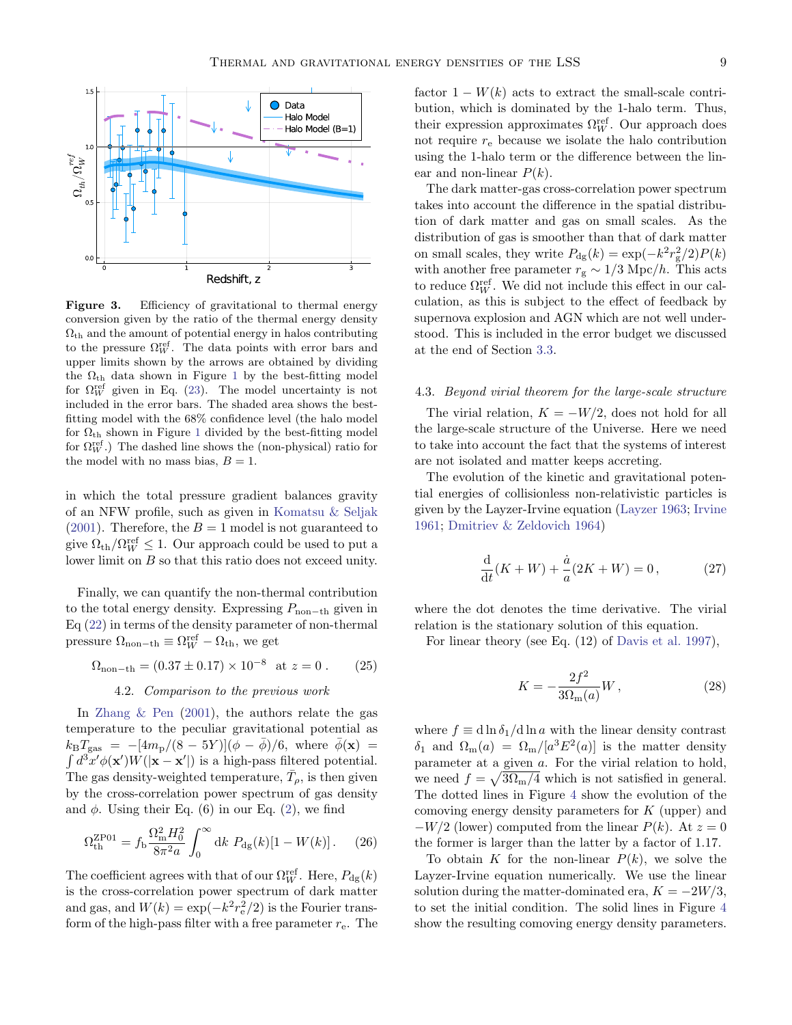

<span id="page-8-0"></span>Figure 3. Efficiency of gravitational to thermal energy conversion given by the ratio of the thermal energy density  $\Omega_{\rm th}$  and the amount of potential energy in halos contributing to the pressure  $\Omega_W^{\text{ref}}$ . The data points with error bars and upper limits shown by the arrows are obtained by dividing the  $\Omega_{\rm th}$  data shown in Figure [1](#page-3-0) by the best-fitting model for  $\Omega_W^{\text{ref}}$  given in Eq. [\(23\)](#page-7-1). The model uncertainty is not included in the error bars. The shaded area shows the bestfitting model with the 68% confidence level (the halo model for  $\Omega_{\rm th}$  shown in Figure [1](#page-3-0) divided by the best-fitting model for  $\Omega_W^{\text{ref}}$ .) The dashed line shows the (non-physical) ratio for the model with no mass bias,  $B = 1$ .

in which the total pressure gradient balances gravity of an NFW profile, such as given in [Komatsu & Seljak](#page-11-37) [\(2001\)](#page-11-37). Therefore, the  $B = 1$  model is not guaranteed to give  $\Omega_{\text{th}}/\Omega_W^{\text{ref}} \leq 1$ . Our approach could be used to put a lower limit on B so that this ratio does not exceed unity.

Finally, we can quantify the non-thermal contribution to the total energy density. Expressing  $P_{\text{non-th}}$  given in Eq [\(22\)](#page-7-3) in terms of the density parameter of non-thermal pressure  $\Omega_{\text{non-th}} \equiv \Omega_W^{\text{ref}} - \Omega_{\text{th}}$ , we get

<span id="page-8-2"></span>
$$
\Omega_{\text{non-th}} = (0.37 \pm 0.17) \times 10^{-8} \text{ at } z = 0. \quad (25)
$$

#### 4.2. Comparison to the previous work

In [Zhang & Pen](#page-13-0) [\(2001\)](#page-13-0), the authors relate the gas temperature to the peculiar gravitational potential as  $k_{\rm B}T_{\rm gas} = -[4m_{\rm p}/(8-5Y)](\phi-\bar{\phi})/6$ , where  $\bar{\phi}(\mathbf{x}) =$  $\int d^3x' \phi(\mathbf{x}') W(|\mathbf{x} - \mathbf{x}'|)$  is a high-pass filtered potential. The gas density-weighted temperature,  $\bar{T}_{\rho}$ , is then given by the cross-correlation power spectrum of gas density and  $\phi$ . Using their Eq. (6) in our Eq. [\(2\)](#page-1-3), we find

$$
\Omega_{\rm th}^{\rm ZPO1} = f_{\rm b} \frac{\Omega_{\rm m}^2 H_0^2}{8\pi^2 a} \int_0^\infty \mathrm{d}k \ P_{\rm dg}(k) [1 - W(k)] \,. \tag{26}
$$

The coefficient agrees with that of our  $\Omega_W^{\text{ref}}$ . Here,  $P_{\text{dg}}(k)$ is the cross-correlation power spectrum of dark matter and gas, and  $W(k) = \exp(-k^2 r_e^2/2)$  is the Fourier transform of the high-pass filter with a free parameter  $r_{e}$ . The factor  $1 - W(k)$  acts to extract the small-scale contribution, which is dominated by the 1-halo term. Thus, their expression approximates  $\Omega_W^{\text{ref}}$ . Our approach does not require  $r_e$  because we isolate the halo contribution using the 1-halo term or the difference between the linear and non-linear  $P(k)$ .

The dark matter-gas cross-correlation power spectrum takes into account the difference in the spatial distribution of dark matter and gas on small scales. As the distribution of gas is smoother than that of dark matter on small scales, they write  $P_{\text{dg}}(k) = \exp(-k^2 r_g^2/2)P(k)$ with another free parameter  $r_{\rm g} \sim 1/3$  Mpc/ $h.$  This acts to reduce  $\Omega_W^{\text{ref}}$ . We did not include this effect in our calculation, as this is subject to the effect of feedback by supernova explosion and AGN which are not well understood. This is included in the error budget we discussed at the end of Section [3.3.](#page-6-0)

#### 4.3. Beyond virial theorem for the large-scale structure

The virial relation,  $K = -W/2$ , does not hold for all the large-scale structure of the Universe. Here we need to take into account the fact that the systems of interest are not isolated and matter keeps accreting.

The evolution of the kinetic and gravitational potential energies of collisionless non-relativistic particles is given by the Layzer-Irvine equation [\(Layzer](#page-11-38) [1963;](#page-11-38) [Irvine](#page-11-39) [1961;](#page-11-39) [Dmitriev & Zeldovich](#page-11-40) [1964\)](#page-11-40)

<span id="page-8-1"></span>
$$
\frac{d}{dt}(K+W) + \frac{\dot{a}}{a}(2K+W) = 0, \qquad (27)
$$

where the dot denotes the time derivative. The virial relation is the stationary solution of this equation.

For linear theory (see Eq. (12) of [Davis et al.](#page-11-41) [1997\)](#page-11-41),

$$
K = -\frac{2f^2}{3\Omega_{\rm m}(a)}W\,,\tag{28}
$$

where  $f \equiv d \ln \delta_1 / d \ln a$  with the linear density contrast  $\delta_1$  and  $\Omega_{\rm m}(a) = \Omega_{\rm m}/[a^3 E^2(a)]$  is the matter density parameter at a given a. For the virial relation to hold, we need  $f = \sqrt{3\Omega_{\rm m}/4}$  which is not satisfied in general. The dotted lines in Figure [4](#page-9-1) show the evolution of the comoving energy density parameters for  $K$  (upper) and  $-W/2$  (lower) computed from the linear  $P(k)$ . At  $z = 0$ the former is larger than the latter by a factor of 1.17.

To obtain K for the non-linear  $P(k)$ , we solve the Layzer-Irvine equation numerically. We use the linear solution during the matter-dominated era,  $K = -2W/3$ , to set the initial condition. The solid lines in Figure [4](#page-9-1) show the resulting comoving energy density parameters.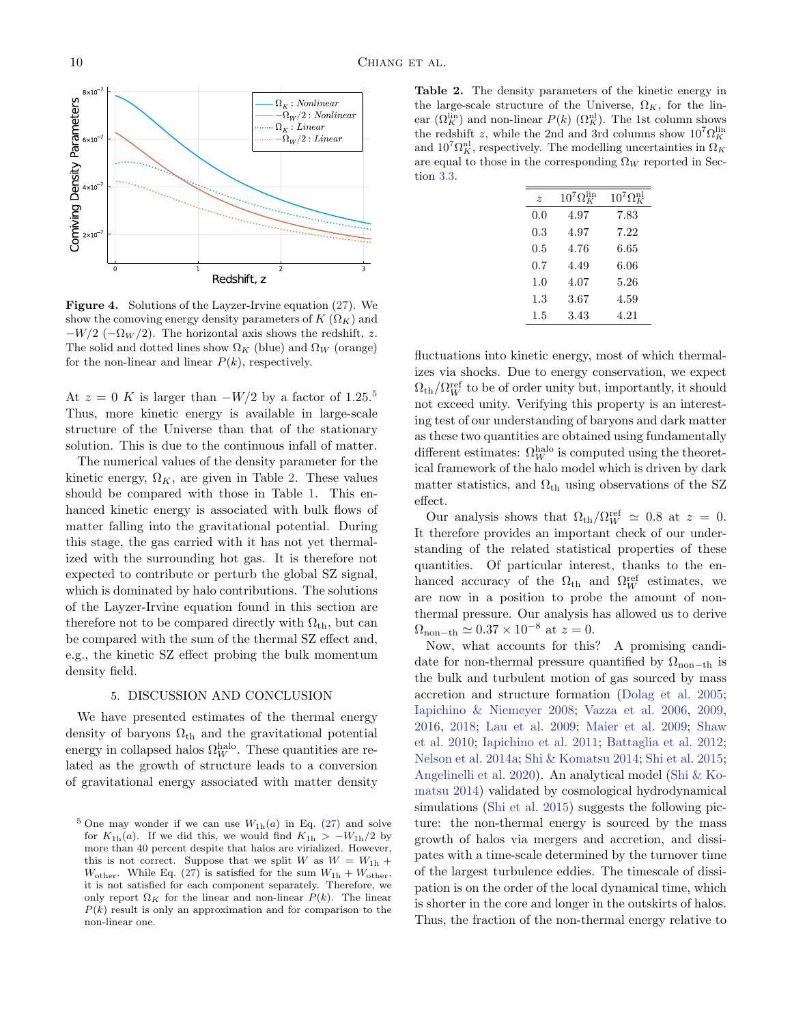

<span id="page-9-1"></span>Figure 4. Solutions of the Layzer-Irvine equation [\(27\)](#page-8-1). We show the comoving energy density parameters of  $K(\Omega_K)$  and  $-W/2$  ( $-\Omega_W/2$ ). The horizontal axis shows the redshift, z. The solid and dotted lines show  $\Omega_K$  (blue) and  $\Omega_W$  (orange) for the non-linear and linear  $P(k)$ , respectively.

At  $z = 0$  K is larger than  $-W/2$  by a factor of 1.2[5](#page-9-2).<sup>5</sup> Thus, more kinetic energy is available in large-scale structure of the Universe than that of the stationary solution. This is due to the continuous infall of matter.

The numerical values of the density parameter for the kinetic energy,  $\Omega_K$ , are given in Table [2.](#page-9-3) These values should be compared with those in Table [1.](#page-7-2) This enhanced kinetic energy is associated with bulk flows of matter falling into the gravitational potential. During this stage, the gas carried with it has not yet thermalized with the surrounding hot gas. It is therefore not expected to contribute or perturb the global SZ signal, which is dominated by halo contributions. The solutions of the Layzer-Irvine equation found in this section are therefore not to be compared directly with  $\Omega_{th}$ , but can be compared with the sum of the thermal SZ effect and, e.g., the kinetic SZ effect probing the bulk momentum density field.

#### 5. DISCUSSION AND CONCLUSION

<span id="page-9-0"></span>We have presented estimates of the thermal energy density of baryons  $\Omega_{\rm th}$  and the gravitational potential energy in collapsed halos  $\Omega_W^{\text{halo}}$ . These quantities are related as the growth of structure leads to a conversion of gravitational energy associated with matter density

<span id="page-9-3"></span>Table 2. The density parameters of the kinetic energy in the large-scale structure of the Universe,  $\Omega_K$ , for the linear  $(\Omega_K^{\text{lin}})$  and non-linear  $P(k)$   $(\Omega_K^{\text{nl}})$ . The 1st column shows the redshift z, while the 2nd and 3rd columns show  $10^7 \Omega_K^{\text{lin}}$ and  $10^7 \Omega_K^{\text{nl}}$ , respectively. The modelling uncertainties in  $\Omega_K$ are equal to those in the corresponding  $\Omega_W$  reported in Section [3.3.](#page-6-0)

| $\tilde{z}$ | $10^7 \Omega_K^{\rm lin}$ | $10^7 \Omega_K^{\text{nl}}$ |
|-------------|---------------------------|-----------------------------|
| 0.0         | 4.97                      | 7.83                        |
| 0.3         | 4.97                      | 7.22                        |
| 0.5         | 4.76                      | 6.65                        |
| 0.7         | 4.49                      | 6.06                        |
| 1.0         | 4.07                      | 5.26                        |
| $1.3\,$     | 3.67                      | 4.59                        |
| $1.5\,$     | 3.43                      | 4.21                        |

fluctuations into kinetic energy, most of which thermalizes via shocks. Due to energy conservation, we expect  $\Omega_{\rm th}/\Omega_W^{\rm ref}$  to be of order unity but, importantly, it should not exceed unity. Verifying this property is an interesting test of our understanding of baryons and dark matter as these two quantities are obtained using fundamentally different estimates:  $\Omega_W^{\text{halo}}$  is computed using the theoretical framework of the halo model which is driven by dark matter statistics, and  $\Omega_{\rm th}$  using observations of the SZ effect.

Our analysis shows that  $\Omega_{\text{th}}/\Omega_W^{\text{ref}} \simeq 0.8$  at  $z = 0$ . It therefore provides an important check of our understanding of the related statistical properties of these quantities. Of particular interest, thanks to the enhanced accuracy of the  $\Omega_{\text{th}}$  and  $\Omega_W^{\text{ref}}$  estimates, we are now in a position to probe the amount of nonthermal pressure. Our analysis has allowed us to derive  $\Omega_{\text{non-th}} \simeq 0.37 \times 10^{-8}$  at  $z = 0$ .

Now, what accounts for this? A promising candidate for non-thermal pressure quantified by  $\Omega_{\text{non-th}}$  is the bulk and turbulent motion of gas sourced by mass accretion and structure formation [\(Dolag et al.](#page-11-42) [2005;](#page-11-42) [Iapichino & Niemeyer](#page-11-43) [2008;](#page-11-43) [Vazza et al.](#page-13-7) [2006,](#page-13-7) [2009,](#page-13-8) [2016,](#page-13-9) [2018;](#page-12-34) [Lau et al.](#page-11-27) [2009;](#page-11-27) [Maier et al.](#page-11-44) [2009;](#page-11-44) [Shaw](#page-12-43) [et al.](#page-12-43) [2010;](#page-12-43) [Iapichino et al.](#page-11-45) [2011;](#page-11-45) [Battaglia et al.](#page-10-17) [2012;](#page-10-17) [Nelson et al.](#page-12-44) [2014a;](#page-12-44) [Shi & Komatsu](#page-12-32) [2014;](#page-12-32) [Shi et al.](#page-12-45) [2015;](#page-12-45) [Angelinelli et al.](#page-10-11) [2020\)](#page-10-11). An analytical model [\(Shi & Ko](#page-12-32)[matsu](#page-12-32) [2014\)](#page-12-32) validated by cosmological hydrodynamical simulations [\(Shi et al.](#page-12-45) [2015\)](#page-12-45) suggests the following picture: the non-thermal energy is sourced by the mass growth of halos via mergers and accretion, and dissipates with a time-scale determined by the turnover time of the largest turbulence eddies. The timescale of dissipation is on the order of the local dynamical time, which is shorter in the core and longer in the outskirts of halos. Thus, the fraction of the non-thermal energy relative to

<span id="page-9-2"></span><sup>&</sup>lt;sup>5</sup> One may wonder if we can use  $W_{1h}(a)$  in Eq. [\(27\)](#page-8-1) and solve for  $K_{1h}(a)$ . If we did this, we would find  $K_{1h} > -W_{1h}/2$  by more than 40 percent despite that halos are virialized. However, this is not correct. Suppose that we split W as  $W = W_{1h}$  +  $W_{\text{other}}$ . While Eq. [\(27\)](#page-8-1) is satisfied for the sum  $W_{1h} + W_{\text{other}}$ , it is not satisfied for each component separately. Therefore, we only report  $\Omega_K$  for the linear and non-linear  $P(k)$ . The linear  $P(k)$  result is only an approximation and for comparison to the non-linear one.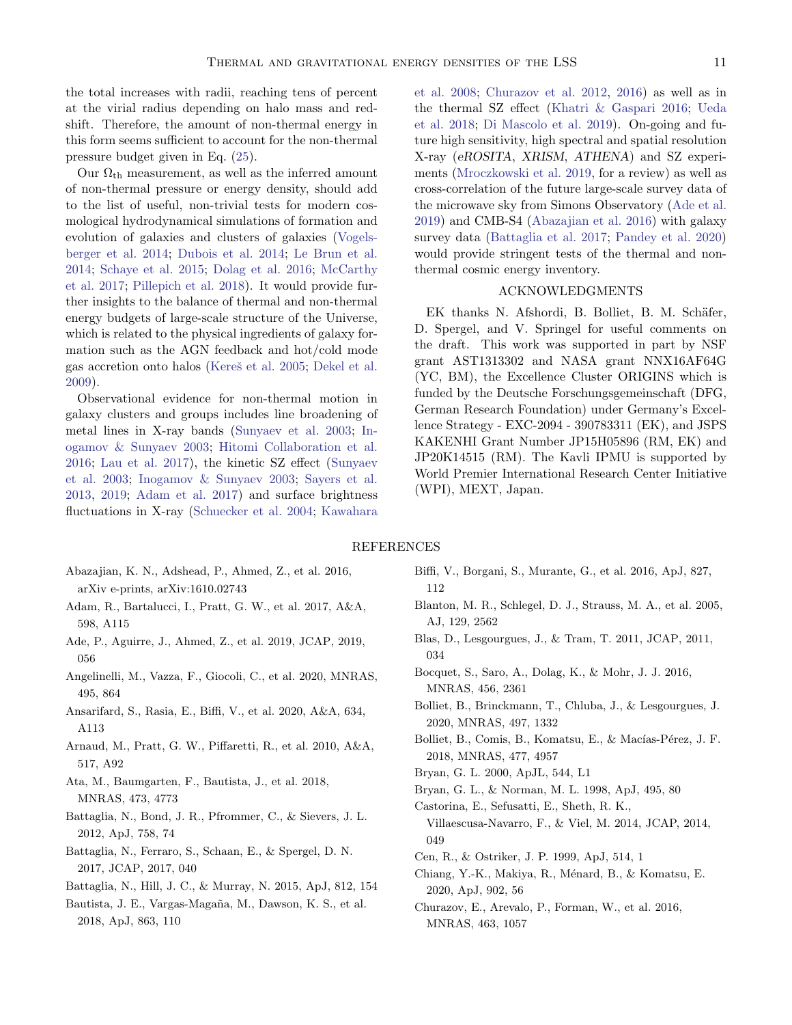the total increases with radii, reaching tens of percent at the virial radius depending on halo mass and redshift. Therefore, the amount of non-thermal energy in this form seems sufficient to account for the non-thermal pressure budget given in Eq. [\(25\)](#page-8-2).

Our  $\Omega_{\text{th}}$  measurement, as well as the inferred amount of non-thermal pressure or energy density, should add to the list of useful, non-trivial tests for modern cosmological hydrodynamical simulations of formation and evolution of galaxies and clusters of galaxies [\(Vogels](#page-13-10)[berger et al.](#page-13-10) [2014;](#page-13-10) [Dubois et al.](#page-11-46) [2014;](#page-11-46) [Le Brun et al.](#page-11-47) [2014;](#page-11-47) [Schaye et al.](#page-12-46) [2015;](#page-12-46) [Dolag et al.](#page-11-21) [2016;](#page-11-21) [McCarthy](#page-11-48) [et al.](#page-11-48) [2017;](#page-11-48) [Pillepich et al.](#page-12-47) [2018\)](#page-12-47). It would provide further insights to the balance of thermal and non-thermal energy budgets of large-scale structure of the Universe, which is related to the physical ingredients of galaxy formation such as the AGN feedback and hot/cold mode gas accretion onto halos (Kereš et al. [2005;](#page-11-49) [Dekel et al.](#page-11-50) [2009\)](#page-11-50).

Observational evidence for non-thermal motion in galaxy clusters and groups includes line broadening of metal lines in X-ray bands [\(Sunyaev et al.](#page-12-48) [2003;](#page-12-48) [In](#page-11-51)[ogamov & Sunyaev](#page-11-51) [2003;](#page-11-51) [Hitomi Collaboration et al.](#page-11-52) [2016;](#page-11-52) [Lau et al.](#page-11-53) [2017\)](#page-11-53), the kinetic SZ effect [\(Sunyaev](#page-12-48) [et al.](#page-12-48) [2003;](#page-12-48) [Inogamov & Sunyaev](#page-11-51) [2003;](#page-11-51) [Sayers et al.](#page-12-49) [2013,](#page-12-49) [2019;](#page-12-50) [Adam et al.](#page-10-18) [2017\)](#page-10-18) and surface brightness fluctuations in X-ray [\(Schuecker et al.](#page-12-51) [2004;](#page-12-51) [Kawahara](#page-11-54)

[et al.](#page-11-54) [2008;](#page-11-54) [Churazov et al.](#page-11-55) [2012,](#page-11-55) [2016\)](#page-10-19) as well as in the thermal SZ effect [\(Khatri & Gaspari](#page-11-56) [2016;](#page-11-56) [Ueda](#page-12-52) [et al.](#page-12-52) [2018;](#page-12-52) [Di Mascolo et al.](#page-11-57) [2019\)](#page-11-57). On-going and future high sensitivity, high spectral and spatial resolution X-ray (eROSITA, XRISM, ATHENA) and SZ experiments [\(Mroczkowski et al.](#page-11-58) [2019,](#page-11-58) for a review) as well as cross-correlation of the future large-scale survey data of the microwave sky from Simons Observatory [\(Ade et al.](#page-10-20) [2019\)](#page-10-20) and CMB-S4 [\(Abazajian et al.](#page-10-21) [2016\)](#page-10-21) with galaxy survey data [\(Battaglia et al.](#page-10-22) [2017;](#page-10-22) [Pandey et al.](#page-12-53) [2020\)](#page-12-53) would provide stringent tests of the thermal and nonthermal cosmic energy inventory.

# ACKNOWLEDGMENTS

EK thanks N. Afshordi, B. Bolliet, B. M. Schäfer, D. Spergel, and V. Springel for useful comments on the draft. This work was supported in part by NSF grant AST1313302 and NASA grant NNX16AF64G (YC, BM), the Excellence Cluster ORIGINS which is funded by the Deutsche Forschungsgemeinschaft (DFG, German Research Foundation) under Germany's Excellence Strategy - EXC-2094 - 390783311 (EK), and JSPS KAKENHI Grant Number JP15H05896 (RM, EK) and JP20K14515 (RM). The Kavli IPMU is supported by World Premier International Research Center Initiative (WPI), MEXT, Japan.

#### REFERENCES

- <span id="page-10-21"></span>Abazajian, K. N., Adshead, P., Ahmed, Z., et al. 2016, arXiv e-prints, arXiv:1610.02743
- <span id="page-10-18"></span>Adam, R., Bartalucci, I., Pratt, G. W., et al. 2017, A&A, 598, A115
- <span id="page-10-20"></span>Ade, P., Aguirre, J., Ahmed, Z., et al. 2019, JCAP, 2019, 056
- <span id="page-10-11"></span>Angelinelli, M., Vazza, F., Giocoli, C., et al. 2020, MNRAS, 495, 864
- <span id="page-10-12"></span>Ansarifard, S., Rasia, E., Biffi, V., et al. 2020, A&A, 634, A113
- <span id="page-10-6"></span>Arnaud, M., Pratt, G. W., Piffaretti, R., et al. 2010, A&A, 517, A92
- <span id="page-10-3"></span>Ata, M., Baumgarten, F., Bautista, J., et al. 2018, MNRAS, 473, 4773
- <span id="page-10-17"></span>Battaglia, N., Bond, J. R., Pfrommer, C., & Sievers, J. L. 2012, ApJ, 758, 74
- <span id="page-10-22"></span>Battaglia, N., Ferraro, S., Schaan, E., & Spergel, D. N. 2017, JCAP, 2017, 040
- <span id="page-10-5"></span>Battaglia, N., Hill, J. C., & Murray, N. 2015, ApJ, 812, 154
- <span id="page-10-4"></span>Bautista, J. E., Vargas-Magaña, M., Dawson, K. S., et al. 2018, ApJ, 863, 110
- <span id="page-10-10"></span>Biffi, V., Borgani, S., Murante, G., et al. 2016, ApJ, 827, 112
- <span id="page-10-2"></span>Blanton, M. R., Schlegel, D. J., Strauss, M. A., et al. 2005, AJ, 129, 2562
- <span id="page-10-14"></span>Blas, D., Lesgourgues, J., & Tram, T. 2011, JCAP, 2011, 034
- <span id="page-10-15"></span>Bocquet, S., Saro, A., Dolag, K., & Mohr, J. J. 2016, MNRAS, 456, 2361
- <span id="page-10-9"></span>Bolliet, B., Brinckmann, T., Chluba, J., & Lesgourgues, J. 2020, MNRAS, 497, 1332
- <span id="page-10-8"></span>Bolliet, B., Comis, B., Komatsu, E., & Macías-Pérez, J. F. 2018, MNRAS, 477, 4957
- <span id="page-10-16"></span>Bryan, G. L. 2000, ApJL, 544, L1
- <span id="page-10-7"></span>Bryan, G. L., & Norman, M. L. 1998, ApJ, 495, 80
- <span id="page-10-13"></span>Castorina, E., Sefusatti, E., Sheth, R. K., Villaescusa-Navarro, F., & Viel, M. 2014, JCAP, 2014, 049
- <span id="page-10-0"></span>Cen, R., & Ostriker, J. P. 1999, ApJ, 514, 1
- <span id="page-10-1"></span>Chiang, Y.-K., Makiya, R., Ménard, B., & Komatsu, E. 2020, ApJ, 902, 56
- <span id="page-10-19"></span>Churazov, E., Arevalo, P., Forman, W., et al. 2016, MNRAS, 463, 1057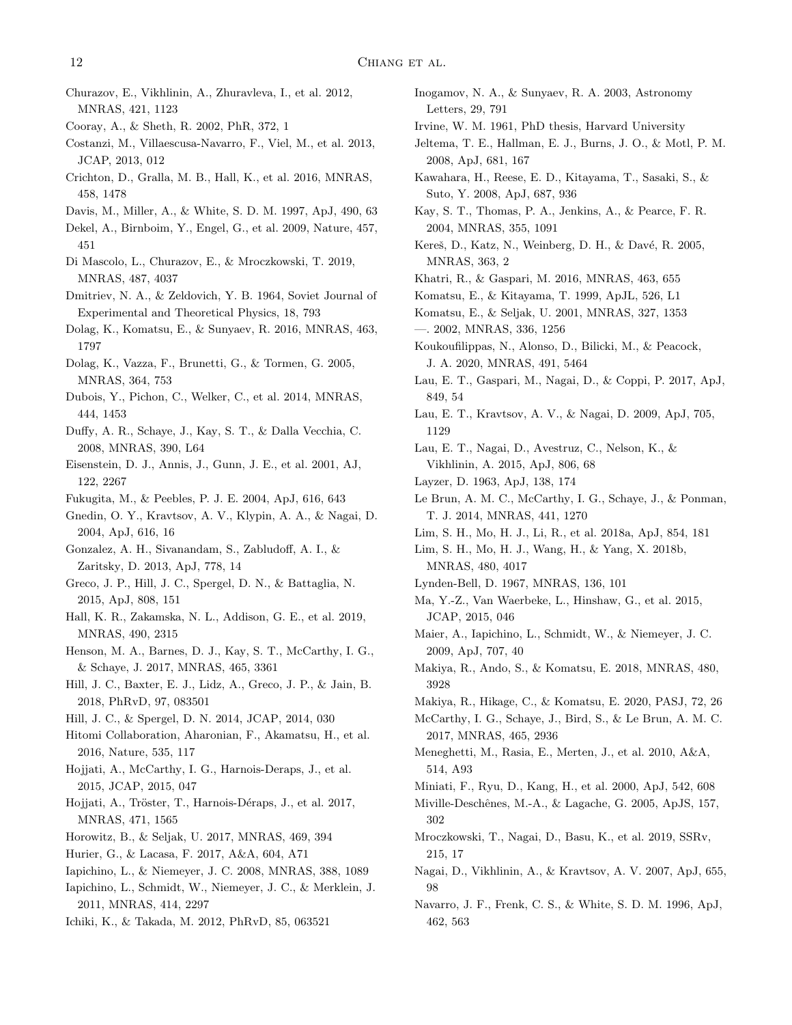- <span id="page-11-55"></span>Churazov, E., Vikhlinin, A., Zhuravleva, I., et al. 2012, MNRAS, 421, 1123
- <span id="page-11-5"></span>Cooray, A., & Sheth, R. 2002, PhR, 372, 1
- <span id="page-11-31"></span>Costanzi, M., Villaescusa-Navarro, F., Viel, M., et al. 2013, JCAP, 2013, 012
- <span id="page-11-10"></span>Crichton, D., Gralla, M. B., Hall, K., et al. 2016, MNRAS, 458, 1478
- <span id="page-11-41"></span>Davis, M., Miller, A., & White, S. D. M. 1997, ApJ, 490, 63
- <span id="page-11-50"></span>Dekel, A., Birnboim, Y., Engel, G., et al. 2009, Nature, 457, 451
- <span id="page-11-57"></span>Di Mascolo, L., Churazov, E., & Mroczkowski, T. 2019, MNRAS, 487, 4037
- <span id="page-11-40"></span>Dmitriev, N. A., & Zeldovich, Y. B. 1964, Soviet Journal of Experimental and Theoretical Physics, 18, 793
- <span id="page-11-21"></span>Dolag, K., Komatsu, E., & Sunyaev, R. 2016, MNRAS, 463, 1797
- <span id="page-11-42"></span>Dolag, K., Vazza, F., Brunetti, G., & Tormen, G. 2005, MNRAS, 364, 753
- <span id="page-11-46"></span>Dubois, Y., Pichon, C., Welker, C., et al. 2014, MNRAS, 444, 1453
- <span id="page-11-33"></span>Duffy, A. R., Schaye, J., Kay, S. T., & Dalla Vecchia, C. 2008, MNRAS, 390, L64
- <span id="page-11-3"></span>Eisenstein, D. J., Annis, J., Gunn, J. E., et al. 2001, AJ, 122, 2267
- <span id="page-11-34"></span><span id="page-11-0"></span>Fukugita, M., & Peebles, P. J. E. 2004, ApJ, 616, 643
- Gnedin, O. Y., Kravtsov, A. V., Klypin, A. A., & Nagai, D. 2004, ApJ, 616, 16
- <span id="page-11-36"></span>Gonzalez, A. H., Sivanandam, S., Zabludoff, A. I., & Zaritsky, D. 2013, ApJ, 778, 14
- <span id="page-11-6"></span>Greco, J. P., Hill, J. C., Spergel, D. N., & Battaglia, N. 2015, ApJ, 808, 151
- <span id="page-11-13"></span>Hall, K. R., Zakamska, N. L., Addison, G. E., et al. 2019, MNRAS, 490, 2315
- <span id="page-11-29"></span>Henson, M. A., Barnes, D. J., Kay, S. T., McCarthy, I. G., & Schaye, J. 2017, MNRAS, 465, 3361
- <span id="page-11-15"></span>Hill, J. C., Baxter, E. J., Lidz, A., Greco, J. P., & Jain, B. 2018, PhRvD, 97, 083501
- <span id="page-11-14"></span>Hill, J. C., & Spergel, D. N. 2014, JCAP, 2014, 030
- <span id="page-11-52"></span>Hitomi Collaboration, Aharonian, F., Akamatsu, H., et al. 2016, Nature, 535, 117
- <span id="page-11-8"></span>Hojjati, A., McCarthy, I. G., Harnois-Deraps, J., et al. 2015, JCAP, 2015, 047
- <span id="page-11-9"></span>Hojjati, A., Tröster, T., Harnois-Déraps, J., et al. 2017, MNRAS, 471, 1565
- <span id="page-11-23"></span>Horowitz, B., & Seljak, U. 2017, MNRAS, 469, 394
- <span id="page-11-22"></span>Hurier, G., & Lacasa, F. 2017, A&A, 604, A71
- <span id="page-11-43"></span>Iapichino, L., & Niemeyer, J. C. 2008, MNRAS, 388, 1089
- <span id="page-11-45"></span>Iapichino, L., Schmidt, W., Niemeyer, J. C., & Merklein, J. 2011, MNRAS, 414, 2297
- <span id="page-11-30"></span>Ichiki, K., & Takada, M. 2012, PhRvD, 85, 063521
- <span id="page-11-51"></span>Inogamov, N. A., & Sunyaev, R. A. 2003, Astronomy Letters, 29, 791
- <span id="page-11-39"></span>Irvine, W. M. 1961, PhD thesis, Harvard University
- <span id="page-11-26"></span>Jeltema, T. E., Hallman, E. J., Burns, J. O., & Motl, P. M. 2008, ApJ, 681, 167
- <span id="page-11-54"></span>Kawahara, H., Reese, E. D., Kitayama, T., Sasaki, S., & Suto, Y. 2008, ApJ, 687, 936
- <span id="page-11-24"></span>Kay, S. T., Thomas, P. A., Jenkins, A., & Pearce, F. R. 2004, MNRAS, 355, 1091
- <span id="page-11-49"></span>Kereš, D., Katz, N., Weinberg, D. H., & Davé, R. 2005, MNRAS, 363, 2
- <span id="page-11-56"></span><span id="page-11-16"></span>Khatri, R., & Gaspari, M. 2016, MNRAS, 463, 655
- Komatsu, E., & Kitayama, T. 1999, ApJL, 526, L1
- <span id="page-11-37"></span><span id="page-11-19"></span>Komatsu, E., & Seljak, U. 2001, MNRAS, 327, 1353 —. 2002, MNRAS, 336, 1256
- <span id="page-11-2"></span>Koukoufilippas, N., Alonso, D., Bilicki, M., & Peacock, J. A. 2020, MNRAS, 491, 5464
- <span id="page-11-53"></span>Lau, E. T., Gaspari, M., Nagai, D., & Coppi, P. 2017, ApJ, 849, 54
- <span id="page-11-27"></span>Lau, E. T., Kravtsov, A. V., & Nagai, D. 2009, ApJ, 705, 1129
- <span id="page-11-20"></span>Lau, E. T., Nagai, D., Avestruz, C., Nelson, K., & Vikhlinin, A. 2015, ApJ, 806, 68
- <span id="page-11-47"></span><span id="page-11-38"></span>Layzer, D. 1963, ApJ, 138, 174
- Le Brun, A. M. C., McCarthy, I. G., Schaye, J., & Ponman, T. J. 2014, MNRAS, 441, 1270
- <span id="page-11-11"></span>Lim, S. H., Mo, H. J., Li, R., et al. 2018a, ApJ, 854, 181
- <span id="page-11-12"></span>Lim, S. H., Mo, H. J., Wang, H., & Yang, X. 2018b, MNRAS, 480, 4017
- <span id="page-11-35"></span><span id="page-11-7"></span>Lynden-Bell, D. 1967, MNRAS, 136, 101
- Ma, Y.-Z., Van Waerbeke, L., Hinshaw, G., et al. 2015, JCAP, 2015, 046
- <span id="page-11-44"></span>Maier, A., Iapichino, L., Schmidt, W., & Niemeyer, J. C. 2009, ApJ, 707, 40
- <span id="page-11-17"></span>Makiya, R., Ando, S., & Komatsu, E. 2018, MNRAS, 480, 3928
- <span id="page-11-18"></span>Makiya, R., Hikage, C., & Komatsu, E. 2020, PASJ, 72, 26
- <span id="page-11-48"></span>McCarthy, I. G., Schaye, J., Bird, S., & Le Brun, A. M. C. 2017, MNRAS, 465, 2936
- <span id="page-11-28"></span>Meneghetti, M., Rasia, E., Merten, J., et al. 2010, A&A, 514, A93
- <span id="page-11-1"></span>Miniati, F., Ryu, D., Kang, H., et al. 2000, ApJ, 542, 608
- <span id="page-11-4"></span>Miville-Deschênes, M.-A., & Lagache, G. 2005, ApJS, 157, 302
- <span id="page-11-58"></span>Mroczkowski, T., Nagai, D., Basu, K., et al. 2019, SSRv, 215, 17
- <span id="page-11-25"></span>Nagai, D., Vikhlinin, A., & Kravtsov, A. V. 2007, ApJ, 655, 98
- <span id="page-11-32"></span>Navarro, J. F., Frenk, C. S., & White, S. D. M. 1996, ApJ, 462, 563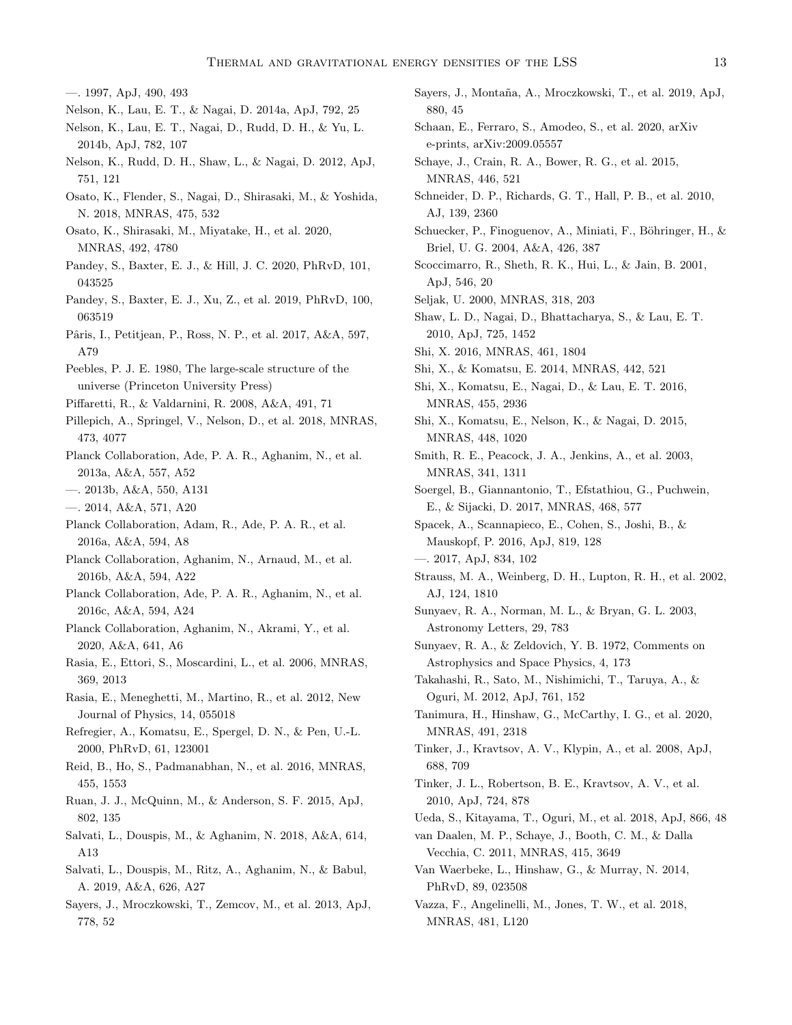<span id="page-12-37"></span>—. 1997, ApJ, 490, 493

- <span id="page-12-44"></span>Nelson, K., Lau, E. T., & Nagai, D. 2014a, ApJ, 792, 25
- <span id="page-12-31"></span>Nelson, K., Lau, E. T., Nagai, D., Rudd, D. H., & Yu, L. 2014b, ApJ, 782, 107
- <span id="page-12-30"></span>Nelson, K., Rudd, D. H., Shaw, L., & Nagai, D. 2012, ApJ, 751, 121
- <span id="page-12-25"></span>Osato, K., Flender, S., Nagai, D., Shirasaki, M., & Yoshida, N. 2018, MNRAS, 475, 532
- <span id="page-12-26"></span>Osato, K., Shirasaki, M., Miyatake, H., et al. 2020, MNRAS, 492, 4780
- <span id="page-12-53"></span>Pandey, S., Baxter, E. J., & Hill, J. C. 2020, PhRvD, 101, 043525
- <span id="page-12-4"></span>Pandey, S., Baxter, E. J., Xu, Z., et al. 2019, PhRvD, 100, 063519
- <span id="page-12-9"></span>Pˆaris, I., Petitjean, P., Ross, N. P., et al. 2017, A&A, 597, A79

<span id="page-12-35"></span>Peebles, P. J. E. 1980, The large-scale structure of the universe (Princeton University Press)

- <span id="page-12-29"></span>Piffaretti, R., & Valdarnini, R. 2008, A&A, 491, 71
- <span id="page-12-47"></span>Pillepich, A., Springel, V., Nelson, D., et al. 2018, MNRAS, 473, 4077
- <span id="page-12-10"></span>Planck Collaboration, Ade, P. A. R., Aghanim, N., et al. 2013a, A&A, 557, A52
- <span id="page-12-19"></span>—. 2013b, A&A, 550, A131
- <span id="page-12-21"></span>—. 2014, A&A, 571, A20
- <span id="page-12-2"></span>Planck Collaboration, Adam, R., Ade, P. A. R., et al. 2016a, A&A, 594, A8
- <span id="page-12-3"></span>Planck Collaboration, Aghanim, N., Arnaud, M., et al. 2016b, A&A, 594, A22
- <span id="page-12-22"></span>Planck Collaboration, Ade, P. A. R., Aghanim, N., et al. 2016c, A&A, 594, A24
- <span id="page-12-5"></span>Planck Collaboration, Aghanim, N., Akrami, Y., et al. 2020, A&A, 641, A6
- <span id="page-12-27"></span>Rasia, E., Ettori, S., Moscardini, L., et al. 2006, MNRAS, 369, 2013
- <span id="page-12-28"></span>Rasia, E., Meneghetti, M., Martino, R., et al. 2012, New Journal of Physics, 14, 055018
- <span id="page-12-0"></span>Refregier, A., Komatsu, E., Spergel, D. N., & Pen, U.-L. 2000, PhRvD, 61, 123001
- <span id="page-12-8"></span>Reid, B., Ho, S., Padmanabhan, N., et al. 2016, MNRAS, 455, 1553
- <span id="page-12-12"></span>Ruan, J. J., McQuinn, M., & Anderson, S. F. 2015, ApJ, 802, 135
- <span id="page-12-23"></span>Salvati, L., Douspis, M., & Aghanim, N. 2018, A&A, 614, A13
- <span id="page-12-24"></span>Salvati, L., Douspis, M., Ritz, A., Aghanim, N., & Babul, A. 2019, A&A, 626, A27
- <span id="page-12-49"></span>Sayers, J., Mroczkowski, T., Zemcov, M., et al. 2013, ApJ, 778, 52
- <span id="page-12-50"></span>Sayers, J., Montaña, A., Mroczkowski, T., et al. 2019, ApJ, 880, 45
- <span id="page-12-38"></span>Schaan, E., Ferraro, S., Amodeo, S., et al. 2020, arXiv e-prints, arXiv:2009.05557
- <span id="page-12-46"></span>Schaye, J., Crain, R. A., Bower, R. G., et al. 2015, MNRAS, 446, 521
- <span id="page-12-7"></span>Schneider, D. P., Richards, G. T., Hall, P. B., et al. 2010, AJ, 139, 2360
- <span id="page-12-51"></span>Schuecker, P., Finoguenov, A., Miniati, F., Böhringer, H.,  $\&$ Briel, U. G. 2004, A&A, 426, 387
- <span id="page-12-41"></span>Scoccimarro, R., Sheth, R. K., Hui, L., & Jain, B. 2001, ApJ, 546, 20
- <span id="page-12-43"></span><span id="page-12-36"></span>Seljak, U. 2000, MNRAS, 318, 203
- Shaw, L. D., Nagai, D., Bhattacharya, S., & Lau, E. T. 2010, ApJ, 725, 1452
- <span id="page-12-20"></span>Shi, X. 2016, MNRAS, 461, 1804
- <span id="page-12-32"></span>Shi, X., & Komatsu, E. 2014, MNRAS, 442, 521
- <span id="page-12-33"></span>Shi, X., Komatsu, E., Nagai, D., & Lau, E. T. 2016, MNRAS, 455, 2936
- <span id="page-12-45"></span>Shi, X., Komatsu, E., Nelson, K., & Nagai, D. 2015, MNRAS, 448, 1020
- <span id="page-12-39"></span>Smith, R. E., Peacock, J. A., Jenkins, A., et al. 2003, MNRAS, 341, 1311
- <span id="page-12-15"></span>Soergel, B., Giannantonio, T., Efstathiou, G., Puchwein, E., & Sijacki, D. 2017, MNRAS, 468, 577
- <span id="page-12-13"></span>Spacek, A., Scannapieco, E., Cohen, S., Joshi, B., & Mauskopf, P. 2016, ApJ, 819, 128
- <span id="page-12-14"></span>—. 2017, ApJ, 834, 102
- <span id="page-12-6"></span>Strauss, M. A., Weinberg, D. H., Lupton, R. H., et al. 2002, AJ, 124, 1810
- <span id="page-12-48"></span>Sunyaev, R. A., Norman, M. L., & Bryan, G. L. 2003, Astronomy Letters, 29, 783
- <span id="page-12-1"></span>Sunyaev, R. A., & Zeldovich, Y. B. 1972, Comments on Astrophysics and Space Physics, 4, 173
- <span id="page-12-40"></span>Takahashi, R., Sato, M., Nishimichi, T., Taruya, A., & Oguri, M. 2012, ApJ, 761, 152
- <span id="page-12-16"></span>Tanimura, H., Hinshaw, G., McCarthy, I. G., et al. 2020, MNRAS, 491, 2318
- <span id="page-12-17"></span>Tinker, J., Kravtsov, A. V., Klypin, A., et al. 2008, ApJ, 688, 709
- <span id="page-12-18"></span>Tinker, J. L., Robertson, B. E., Kravtsov, A. V., et al. 2010, ApJ, 724, 878
- <span id="page-12-52"></span>Ueda, S., Kitayama, T., Oguri, M., et al. 2018, ApJ, 866, 48

<span id="page-12-42"></span>van Daalen, M. P., Schaye, J., Booth, C. M., & Dalla Vecchia, C. 2011, MNRAS, 415, 3649

- <span id="page-12-11"></span>Van Waerbeke, L., Hinshaw, G., & Murray, N. 2014, PhRvD, 89, 023508
- <span id="page-12-34"></span>Vazza, F., Angelinelli, M., Jones, T. W., et al. 2018, MNRAS, 481, L120